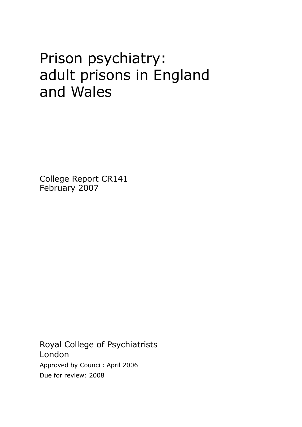# Prison psychiatry: adult prisons in England and Wales

College Report CR141 February 2007

Royal College of Psychiatrists London Approved by Council: April 2006 Due for review: 2008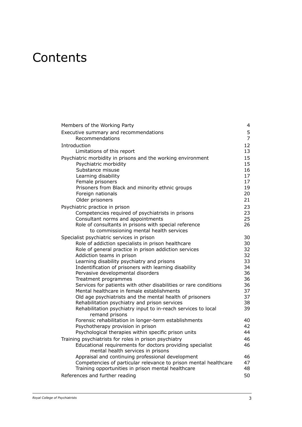# **Contents**

| Members of the Working Party                                                                                   | 4                   |
|----------------------------------------------------------------------------------------------------------------|---------------------|
| Executive summary and recommendations<br>Recommendations                                                       | 5<br>$\overline{7}$ |
| Introduction                                                                                                   | 12                  |
| Limitations of this report                                                                                     | 13                  |
| Psychiatric morbidity in prisons and the working environment                                                   | 15                  |
| Psychiatric morbidity                                                                                          | 15                  |
| Substance misuse<br>Learning disability                                                                        | 16<br>17            |
| Female prisoners                                                                                               | 17                  |
| Prisoners from Black and minority ethnic groups                                                                | 19                  |
| Foreign nationals                                                                                              | 20                  |
| Older prisoners                                                                                                | 21                  |
| Psychiatric practice in prison                                                                                 | 23                  |
| Competencies required of psychiatrists in prisons                                                              | 23                  |
| Consultant norms and appointments                                                                              | 25                  |
| Role of consultants in prisons with special reference                                                          | 26                  |
| to commissioning mental health services                                                                        |                     |
| Specialist psychiatric services in prison                                                                      | 30                  |
| Role of addiction specialists in prison healthcare                                                             | 30                  |
| Role of general practice in prison addiction services<br>Addiction teams in prison                             | 32<br>32            |
| Learning disability psychiatry and prisons                                                                     | 33                  |
| Indentification of prisoners with learning disability                                                          | 34                  |
| Pervasive developmental disorders                                                                              | 36                  |
| Treatment programmes                                                                                           | 36                  |
| Services for patients with other disabilities or rare conditions                                               | 36                  |
| Mental healthcare in female establishments                                                                     | 37                  |
| Old age psychiatrists and the mental health of prisoners                                                       | 37                  |
| Rehabilitation psychiatry and prison services<br>Rehabilitation psychiatry input to in-reach services to local | 38<br>39            |
| remand prisons                                                                                                 |                     |
| Forensic rehabilitation in longer-term establishments                                                          | 40                  |
| Psychotherapy provision in prison                                                                              | 42                  |
| Psychological therapies within specific prison units                                                           | 44                  |
| Training psychiatrists for roles in prison psychiatry                                                          | 46                  |
| Educational requirements for doctors providing specialist                                                      | 46                  |
| mental health services in prisons                                                                              |                     |
| Appraisal and continuing professional development                                                              | 46                  |
| Competencies of particular relevance to prison mental healthcare                                               | 47                  |
| Training opportunities in prison mental healthcare                                                             | 48                  |
| References and further reading                                                                                 | 50                  |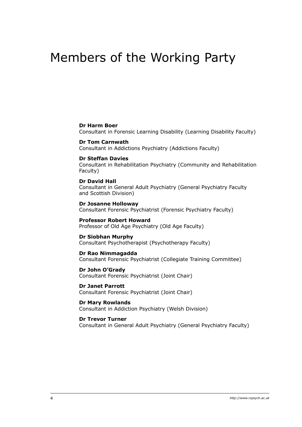# Members of the Working Party

#### **Dr Harm Boer**

Consultant in Forensic Learning Disability (Learning Disability Faculty)

#### **Dr Tom Carnwath** Consultant in Addictions Psychiatry (Addictions Faculty)

#### **Dr Steffan Davies**

Consultant in Rehabilitation Psychiatry (Community and Rehabilitation Faculty)

#### **Dr David Hall**

Consultant in General Adult Psychiatry (General Psychiatry Faculty and Scottish Division)

**Dr Josanne Holloway** Consultant Forensic Psychiatrist (Forensic Psychiatry Faculty)

#### **Professor Robert Howard**

Professor of Old Age Psychiatry (Old Age Faculty)

#### **Dr Siobhan Murphy**

Consultant Psychotherapist (Psychotherapy Faculty)

#### **Dr Rao Nimmagadda**

Consultant Forensic Psychiatrist (Collegiate Training Committee)

#### **Dr John O'Grady**

Consultant Forensic Psychiatrist (Joint Chair)

**Dr Janet Parrott** Consultant Forensic Psychiatrist (Joint Chair)

**Dr Mary Rowlands** Consultant in Addiction Psychiatry (Welsh Division)

#### **Dr Trevor Turner**

Consultant in General Adult Psychiatry (General Psychiatry Faculty)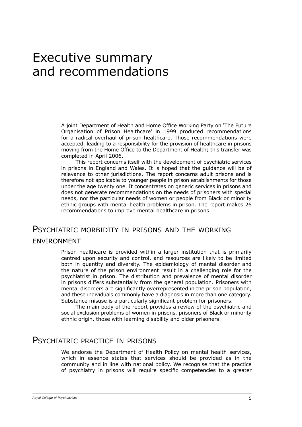# Executive summary and recommendations

A joint Department of Health and Home Office Working Party on 'The Future Organisation of Prison Healthcare' in 1999 produced recommendations for a radical overhaul of prison healthcare. Those recommendations were accepted, leading to a responsibility for the provision of healthcare in prisons moving from the Home Office to the Department of Health; this transfer was completed in April 2006.

This report concerns itself with the development of psychiatric services in prisons in England and Wales. It is hoped that the guidance will be of relevance to other jurisdictions. The report concerns adult prisons and is therefore not applicable to younger people in prison establishments for those under the age twenty one. It concentrates on generic services in prisons and does not generate recommendations on the needs of prisoners with special needs, nor the particular needs of women or people from Black or minority ethnic groups with mental health problems in prison. The report makes 26 recommendations to improve mental healthcare in prisons.

# PSYCHIATRIC MORBIDITY IN PRISONS AND THE WORKING environment

Prison healthcare is provided within a larger institution that is primarily centred upon security and control, and resources are likely to be limited both in quantity and diversity. The epidemiology of mental disorder and the nature of the prison environment result in a challenging role for the psychiatrist in prison. The distribution and prevalence of mental disorder in prisons differs substantially from the general population. Prisoners with mental disorders are significantly overrepresented in the prison population, and these individuals commonly have a diagnosis in more than one category. Substance misuse is a particularly significant problem for prisoners.

The main body of the report provides a review of the psychiatric and social exclusion problems of women in prisons, prisoners of Black or minority ethnic origin, those with learning disability and older prisoners.

# Psychiatric practice in prisons

We endorse the Department of Health Policy on mental health services, which in essence states that services should be provided as in the community and in line with national policy. We recognise that the practice of psychiatry in prisons will require specific competencies to a greater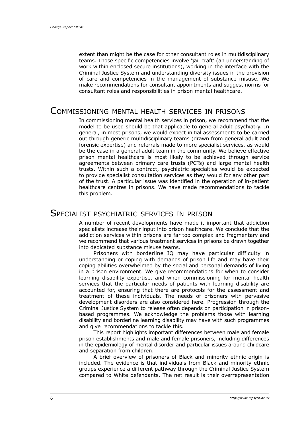extent than might be the case for other consultant roles in multidisciplinary teams. Those specific competencies involve 'jail craft' (an understanding of work within enclosed secure institutions), working in the interface with the Criminal Justice System and understanding diversity issues in the provision of care and competencies in the management of substance misuse. We make recommendations for consultant appointments and suggest norms for consultant roles and responsibilities in prison mental healthcare.

### Commissioning mental health services in prisons

In commissioning mental health services in prison, we recommend that the model to be used should be that applicable to general adult psychiatry. In general, in most prisons, we would expect initial assessments to be carried out through generic multidisciplinary teams (drawn from general adult and forensic expertise) and referrals made to more specialist services, as would be the case in a general adult team in the community. We believe effective prison mental healthcare is most likely to be achieved through service agreements between primary care trusts (PCTs) and large mental health trusts. Within such a contract, psychiatric specialties would be expected to provide specialist consultation services as they would for any other part of the trust. A particular issue was identified in the operation of in-patient healthcare centres in prisons. We have made recommendations to tackle this problem.

## Specialist psychiatric services in prison

A number of recent developments have made it important that addiction specialists increase their input into prison healthcare. We conclude that the addiction services within prisons are far too complex and fragmentary and we recommend that various treatment services in prisons be drawn together into dedicated substance misuse teams.

Prisoners with borderline IQ may have particular difficulty in understanding or coping with demands of prison life and may have their coping abilities overwhelmed by the social and personal demands of living in a prison environment. We give recommendations for when to consider learning disability expertise, and when commissioning for mental health services that the particular needs of patients with learning disability are accounted for, ensuring that there are protocols for the assessment and treatment of these individuals. The needs of prisoners with pervasive development disorders are also considered here. Progression through the Criminal Justice System to release often depends on participation in prisonbased programmes. We acknowledge the problems those with learning disability and borderline learning disability may have with such programmes and give recommendations to tackle this.

This report highlights important differences between male and female prison establishments and male and female prisoners, including differences in the epidemiology of mental disorder and particular issues around childcare and separation from children.

A brief overview of prisoners of Black and minority ethnic origin is included. The evidence is that individuals from Black and minority ethnic groups experience a different pathway through the Criminal Justice System compared to White defendants. The net result is their overrepresentation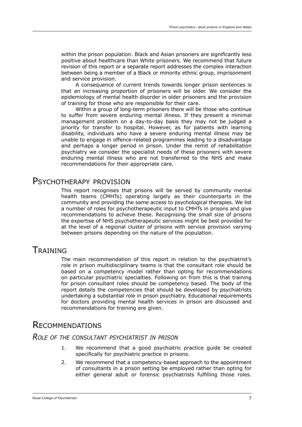within the prison population. Black and Asian prisoners are significantly less positive about healthcare than White prisoners. We recommend that future revision of this report or a separate report addresses the complex interaction between being a member of a Black or minority ethnic group, imprisonment and service provision.

A consequence of current trends towards longer prison sentences is that an increasing proportion of prisoners will be older. We consider the epidemiology of mental health disorder in older prisoners and the provision of training for those who are responsible for their care.

Within a group of long-term prisoners there will be those who continue to suffer from severe enduring mental illness. If they present a minimal management problem on a day-to-day basis they may not be judged a priority for transfer to hospital. However, as for patients with learning disability, individuals who have a severe enduring mental illness may be unable to engage in offence-related programmes leading to a disadvantage and perhaps a longer period in prison. Under the remit of rehabilitation psychiatry we consider the specialist needs of these prisoners with severe enduring mental illness who are not transferred to the NHS and make recommendations for their appropriate care.

## PSYCHOTHERAPY PROVISION

This report recognises that prisons will be served by community mental health teams (CMHTs) operating largely as their counterparts in the community and providing the same access to psychological therapies. We list a number of roles for psychotherapeutic input to CMHTs in prisons and give recommendations to achieve these. Recognising the small size of prisons the expertise of NHS psychotherapeutic services might be best provided for at the level of a regional cluster of prisons with service provision varying between prisons depending on the nature of the population.

# **TRAINING**

The main recommendation of this report in relation to the psychiatrist's role in prison multidisciplinary teams is that the consultant role should be based on a competency model rather than opting for recommendations on particular psychiatric specialties. Following on from this is that training for prison consultant roles should be competency based. The body of the report details the competencies that should be developed by psychiatrists undertaking a substantial role in prison psychiatry. Educational requirements for doctors providing mental health services in prison are discussed and recommendations for training are given.

# **RECOMMENDATIONS**

#### *Role of the consultant psychiatrist in prison*

- We recommend that a good psychiatric practice guide be created specifically for psychiatric practice in prisons. 1.
- We recommend that a competency-based approach to the appointment of consultants in a prison setting be employed rather than opting for either general adult or forensic psychiatrists fulfilling those roles. 2.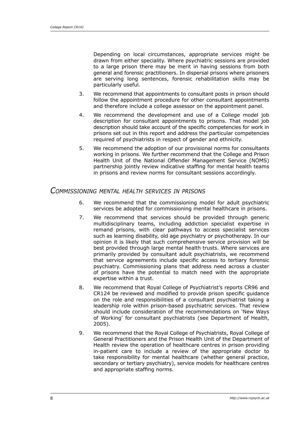Depending on local circumstances, appropriate services might be drawn from either speciality. Where psychiatric sessions are provided to a large prison there may be merit in having sessions from both general and forensic practitioners. In dispersal prisons where prisoners are serving long sentences, forensic rehabilitation skills may be particularly useful.

- We recommend that appointments to consultant posts in prison should follow the appointment procedure for other consultant appointments and therefore include a college assessor on the appointment panel. 3.
- We recommend the development and use of a College model job description for consultant appointments to prisons. That model job description should take account of the specific competencies for work in prisons set out in this report and address the particular competencies required of psychiatrists in respect of gender and ethnicity. 4.
- We recommend the adoption of our provisional norms for consultants working in prisons. We further recommend that the College and Prison Health Unit of the National Offender Management Service (NOMS) partnership jointly review indicative staffing for mental health teams in prisons and review norms for consultant sessions accordingly. 5.

#### *Commissioning mental health services in prisons*

- We recommend that the commissioning model for adult psychiatric services be adopted for commissioning mental healthcare in prisons. 6.
- We recommend that services should be provided through generic multidisciplinary teams, including addiction specialist expertise in remand prisons, with clear pathways to access specialist services such as learning disability, old age psychiatry or psychotherapy. In our opinion it is likely that such comprehensive service provision will be best provided through large mental health trusts. Where services are primarily provided by consultant adult psychiatrists, we recommend that service agreements include specific access to tertiary forensic psychiatry. Commissioning plans that address need across a cluster of prisons have the potential to match need with the appropriate expertise within a trust. 7.
- We recommend that Royal College of Psychiatrist's reports CR96 and CR124 be reviewed and modified to provide prison specific guidance on the role and responsibilities of a consultant psychiatrist taking a leadership role within prison-based psychiatric services. That review should include consideration of the recommendations on 'New Ways of Working' for consultant psychiatrists (see Department of Health, 2005). 8.
- We recommend that the Royal College of Psychiatrists, Royal College of General Practitioners and the Prison Health Unit of the Department of Health review the operation of healthcare centres in prison providing in-patient care to include a review of the appropriate doctor to take responsibility for mental healthcare (whether general practice, secondary or tertiary psychiatry), service models for healthcare centres and appropriate staffing norms. 9.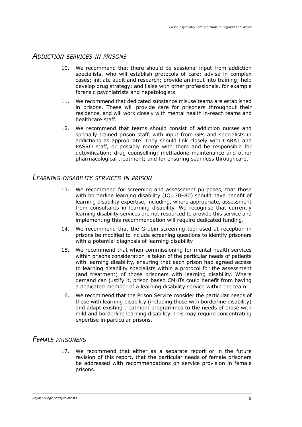#### *Addiction services in prisons*

- 10. We recommend that there should be sessional input from addiction specialists, who will establish protocols of care; advise in complex cases; initiate audit and research; provide an input into training; help develop drug strategy; and liaise with other professionals, for example forensic psychiatrists and hepatologists.
- We recommend that dedicated substance misuse teams are established in prisons. These will provide care for prisoners throughout their residence, and will work closely with mental health in-reach teams and healthcare staff. 11.
- We recommend that teams should consist of addiction nurses and 12. specially trained prison staff, with input from GPs and specialists in addictions as appropriate. They should link closely with CARAT and PASRO staff, or possibly merge with them and be responsible for detoxification; drug counselling; methadone maintenance and other pharmacological treatment; and for ensuring seamless throughcare.

#### *Learning disability services in prison*

- We recommend for screening and assessment purposes, that those with borderline learning disability (IQ=70-80) should have benefit of learning disability expertise, including, where appropriate, assessment from consultants in learning disability. We recognise that currently learning disability services are not resourced to provide this service and implementing this recommendation will require dedicated funding. 13.
- We recommend that the Grubin screening tool used at reception in prisons be modified to include screening questions to identify prisoners with a potential diagnosis of learning disability 14.
- We recommend that when commissioning for mental health services within prisons consideration is taken of the particular needs of patients with learning disability, ensuring that each prison had agreed access to learning disability specialists within a protocol for the assessment (and treatment) of those prisoners with learning disability. Where demand can justify it, prison based CMHTs could benefit from having a dedicated member of a learning disability service within the team. 15.
- We recommend that the Prison Service consider the particular needs of 16. those with learning disability (including those with borderline disability) and adapt existing treatment programmes to the needs of those with mild and borderline learning disability. This may require concentrating expertise in particular prisons.

### *Female prisoners*

17. We recommend that either as a separate report or in the future revision of this report, that the particular needs of female prisoners be addressed with recommendations on service provision in female prisons.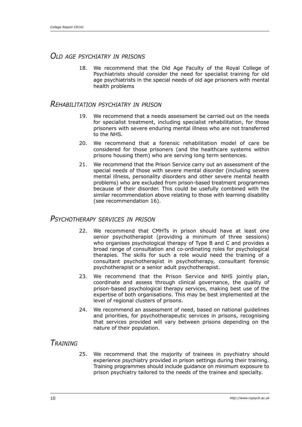### *Old age psychiatry in prisons*

We recommend that the Old Age Faculty of the Royal College of Psychiatrists should consider the need for specialist training for old age psychiatrists in the special needs of old age prisoners with mental health problems 18.

#### *Rehabilitation psychiatry in prison*

- We recommend that a needs assessment be carried out on the needs 19. for specialist treatment, including specialist rehabilitation, for those prisoners with severe enduring mental illness who are not transferred to the NHS.
- We recommend that a forensic rehabilitation model of care be considered for those prisoners (and the healthcare systems within prisons housing them) who are serving long term sentences. 20.
- We recommend that the Prison Service carry out an assessment of the 21. special needs of those with severe mental disorder (including severe mental illness, personality disorders and other severe mental health problems) who are excluded from prison-based treatment programmes because of their disorder. This could be usefully combined with the similar recommendation above relating to those with learning disability (see recommendation 16).

### *Psychotherapy services in prison*

- 22. We recommend that CMHTs in prison should have at least one senior psychotherapist (providing a minimum of three sessions) who organises psychological therapy of Type B and C and provides a broad range of consultation and co-ordinating roles for psychological therapies. The skills for such a role would need the training of a consultant psychotherapist in psychotherapy, consultant forensic psychotherapist or a senior adult psychotherapist.
- 23. We recommend that the Prison Service and NHS jointly plan, coordinate and assess through clinical governance, the quality of prison-based psychological therapy services, making best use of the expertise of both organisations. This may be best implemented at the level of regional clusters of prisons.
- We recommend an assessment of need, based on national guidelines 24. and priorities, for psychotherapeutic services in prisons, recognising that services provided will vary between prisons depending on the nature of their population.

## *Training*

We recommend that the majority of trainees in psychiatry should experience psychiatry provided in prison settings during their training. Training programmes should include guidance on minimum exposure to prison psychiatry tailored to the needs of the trainee and specialty. 25.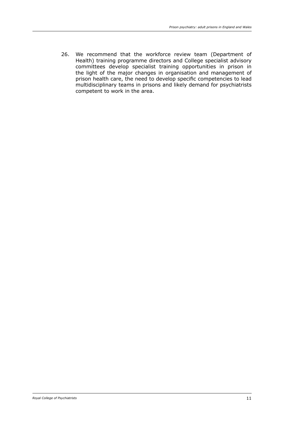26. We recommend that the workforce review team (Department of Health) training programme directors and College specialist advisory committees develop specialist training opportunities in prison in the light of the major changes in organisation and management of prison health care, the need to develop specific competencies to lead multidisciplinary teams in prisons and likely demand for psychiatrists competent to work in the area.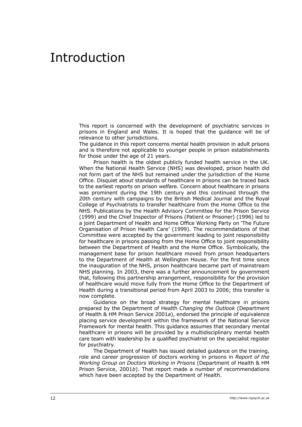# Introduction

This report is concerned with the development of psychiatric services in prisons in England and Wales. It is hoped that the guidance will be of relevance to other jurisdictions.

The guidance in this report concerns mental health provision in adult prisons and is therefore not applicable to younger people in prison establishments for those under the age of 21 years.

Prison health is the oldest publicly funded health service in the UK. When the National Health Service (NHS) was developed, prison health did not form part of the NHS but remained under the jurisdiction of the Home Office. Disquiet about standards of healthcare in prisons can be traced back to the earliest reports on prison welfare. Concern about healthcare in prisons was prominent during the 19th century and this continued through the 20th century with campaigns by the British Medical Journal and the Royal College of Psychiatrists to transfer healthcare from the Home Office to the NHS. Publications by the Health Advisory Committee for the Prison Service (1999) and the Chief Inspector of Prisons (Patient or Prisoner) (1996) led to a joint Department of Health and Home Office Working Party on 'The Future Organisation of Prison Health Care' (1999). The recommendations of that Committee were accepted by the government leading to joint responsibility for healthcare in prisons passing from the Home Office to joint responsibility between the Department of Health and the Home Office. Symbolically, the management base for prison healthcare moved from prison headquarters to the Department of Health at Wellington House. For the first time since the inauguration of the NHS, prison healthcare became part of mainstream NHS planning. In 2003, there was a further announcement by government that, following this partnership arrangement, responsibility for the provision of healthcare would move fully from the Home Office to the Department of Health during a transitional period from April 2003 to 2006; this transfer is now complete.

Guidance on the broad strategy for mental healthcare in prisons prepared by the Department of Health *Changing the Outlook* (Department of Health & HM Prison Service 2001*a*), endorsed the principle of equivalence placing service development within the framework of the National Service Framework for mental health. This guidance assumes that secondary mental healthcare in prisons will be provided by a multidisciplinary mental health care team with leadership by a qualified psychiatrist on the specialist register for psychiatry.

The Department of Health has issued detailed guidance on the training, role and career progression of doctors working in prisons in *Report of the Working Group on Doctors Working in Prisons* (Department of Health & HM Prison Service, 2001*b*). That report made a number of recommendations which have been accepted by the Department of Health.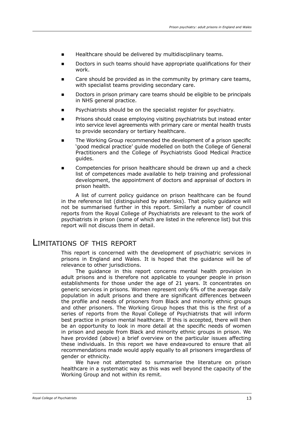- Healthcare should be delivered by multidisciplinary teams.
- Doctors in such teams should have appropriate qualifications for their work.
- Care should be provided as in the community by primary care teams, with specialist teams providing secondary care.  $\blacksquare$
- Doctors in prison primary care teams should be eligible to be principals in NHS general practice.
- Psychiatrists should be on the specialist register for psychiatry.  $\blacksquare$
- Prisons should cease employing visiting psychiatrists but instead enter into service level agreements with primary care or mental health trusts to provide secondary or tertiary healthcare.  $\blacksquare$
- The Working Group recommended the development of a prison specific 'good medical practice' guide modelled on both the College of General Practitioners and the College of Psychiatrists Good Medical Practice guides.  $\blacksquare$
- Competencies for prison healthcare should be drawn up and a check list of competences made available to help training and professional development, the appointment of doctors and appraisal of doctors in prison health.

A list of current policy guidance on prison healthcare can be found in the reference list (distinguished by asterisks). That policy guidance will not be summarised further in this report. Similarly a number of council reports from the Royal College of Psychiatrists are relevant to the work of psychiatrists in prison (some of which are listed in the reference list) but this report will not discuss them in detail.

### Limitations of this report

This report is concerned with the development of psychiatric services in prisons in England and Wales. It is hoped that the guidance will be of relevance to other jurisdictions.

The guidance in this report concerns mental health provision in adult prisons and is therefore not applicable to younger people in prison establishments for those under the age of 21 years. It concentrates on generic services in prisons. Women represent only 6% of the average daily population in adult prisons and there are significant differences between the profile and needs of prisoners from Black and minority ethnic groups and other prisoners. The Working Group hopes that this is the first of a series of reports from the Royal College of Psychiatrists that will inform best practice in prison mental healthcare. If this is accepted, there will then be an opportunity to look in more detail at the specific needs of women in prison and people from Black and minority ethnic groups in prison. We have provided (above) a brief overview on the particular issues affecting these individuals. In this report we have endeavoured to ensure that all recommendations made would apply equally to all prisoners irregardless of gender or ethnicity.

We have not attempted to summarise the literature on prison healthcare in a systematic way as this was well beyond the capacity of the Working Group and not within its remit.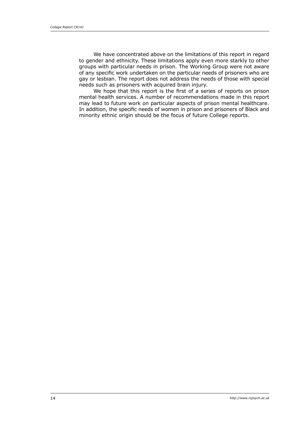We have concentrated above on the limitations of this report in regard to gender and ethnicity. These limitations apply even more starkly to other groups with particular needs in prison. The Working Group were not aware of any specific work undertaken on the particular needs of prisoners who are gay or lesbian. The report does not address the needs of those with special needs such as prisoners with acquired brain injury.

We hope that this report is the first of a series of reports on prison mental health services. A number of recommendations made in this report may lead to future work on particular aspects of prison mental healthcare. In addition, the specific needs of women in prison and prisoners of Black and minority ethnic origin should be the focus of future College reports.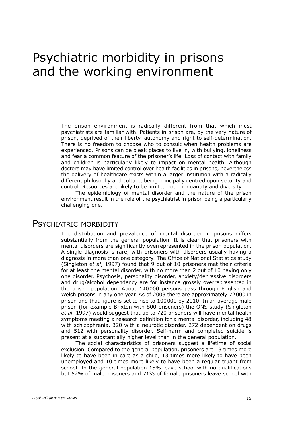# Psychiatric morbidity in prisons and the working environment

The prison environment is radically different from that which most psychiatrists are familiar with. Patients in prison are, by the very nature of prison, deprived of their liberty, autonomy and right to self-determination. There is no freedom to choose who to consult when health problems are experienced. Prisons can be bleak places to live in, with bullying, loneliness and fear a common feature of the prisoner's life. Loss of contact with family and children is particularly likely to impact on mental health. Although doctors may have limited control over health facilities in prisons, nevertheless the delivery of healthcare exists within a larger institution with a radically different philosophy and culture, being principally centred upon security and control. Resources are likely to be limited both in quantity and diversity.

The epidemiology of mental disorder and the nature of the prison environment result in the role of the psychiatrist in prison being a particularly challenging one.

## PSYCHIATRIC MORBIDITY

The distribution and prevalence of mental disorder in prisons differs substantially from the general population. It is clear that prisoners with mental disorders are significantly overrepresented in the prison population. A single diagnosis is rare, with prisoners with disorders usually having a diagnosis in more than one category. The Office of National Statistics study (Singleton *et al*, 1997) found that 9 out of 10 prisoners met their criteria for at least one mental disorder, with no more than 2 out of 10 having only one disorder. Psychosis, personality disorder, anxiety/depressive disorders and drug/alcohol dependency are for instance grossly overrepresented in the prison population. About 140000 persons pass through English and Welsh prisons in any one year. As of 2003 there are approximately 72000 in prison and that figure is set to rise to 100000 by 2010. In an average male prison (for example Brixton with 800 prisoners) the ONS study (Singleton *et al*, 1997) would suggest that up to 720 prisoners will have mental health symptoms meeting a research definition for a mental disorder, including 48 with schizophrenia, 320 with a neurotic disorder, 272 dependent on drugs and 512 with personality disorder. Self-harm and completed suicide is present at a substantially higher level than in the general population.

The social characteristics of prisoners suggest a lifetime of social exclusion. Compared to the general population, prisoners are 13 times more likely to have been in care as a child, 13 times more likely to have been unemployed and 10 times more likely to have been a regular truant from school. In the general population 15% leave school with no qualifications but 52% of male prisoners and 71% of female prisoners leave school with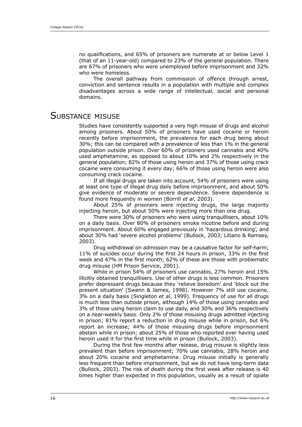no qualifications, and 65% of prisoners are numerate at or below Level 1 (that of an 11-year-old) compared to 23% of the general population. There are 67% of prisoners who were unemployed before imprisonment and 32% who were homeless.

The overall pathway from commission of offence through arrest, conviction and sentence results in a population with multiple and complex disadvantages across a wide range of intellectual, social and personal domains.

# SUBSTANCE MISUSE

Studies have consistently supported a very high misuse of drugs and alcohol among prisoners. About 50% of prisoners have used cocaine or heroin recently before imprisonment, the prevalence for each drug being about 30%; this can be compared with a prevalence of less than 1% in the general population outside prison. Over 60% of prisoners used cannabis and 40% used amphetamine, as opposed to about 10% and 2% respectively in the general population; 82% of those using heroin and 37% of those using crack cocaine were consuming it every day; 66% of those using heroin were also consuming crack cocaine.

If all illegal drugs are taken into account, 54% of prisoners were using at least one type of illegal drug daily before imprisonment, and about 50% give evidence of moderate or severe dependence. Severe dependence is found more frequently in women (Borrill *et al*, 2003).

About 25% of prisoners were injecting drugs, the large majority injecting heroin, but about 50% were injecting more than one drug.

There were 30% of prisoners who were using tranquillisers, about 10% on a daily basis. Over 80% of prisoners smoke nicotine before and during imprisonment. About 60% engaged previously in 'hazardous drinking', and about 30% had 'severe alcohol problems' (Bullock, 2003; Litiano & Ramsey, 2003).

Drug withdrawal on admission may be a causative factor for self-harm; 11% of suicides occur during the first 24 hours in prison, 33% in the first week and 47% in the first month; 62% of these are those with problematic drug misuse (HM Prison Service, 2001).

While in prison 54% of prisoners use cannabis, 27% heroin and 15% illicitly obtained tranquillisers. Use of other drugs is less common. Prisoners prefer depressant drugs because they 'relieve boredom' and 'block out the present situation' (Swann & James, 1998). However 7% still use cocaine, 3% on a daily basis (Singleton *et al*, 1999). Frequency of use for all drugs is much less than outside prison, although 14% of those using cannabis and 3% of those using heroin claim to use daily, and 30% and 36% respectively on a near-weekly basis. Only 2% of those misusing drugs admitted injecting in prison; 81% report a reduction in drug misuse while in prison, but 6% report an increase; 44% of those misusing drugs before imprisonment abstain while in prison; about 25% of those who reported ever having used heroin used it for the first time while in prison (Bullock, 2003).

During the first few months after release, drug misuse is slightly less prevalent than before imprisonment; 70% use cannabis, 28% heroin and about 20% cocaine and amphetamine. Drug misuse initially is generally less frequent than before imprisonment, but we do not have long-term data (Bullock, 2003). The risk of death during the first week after release is 40 times higher than expected in this population, usually as a result of opiate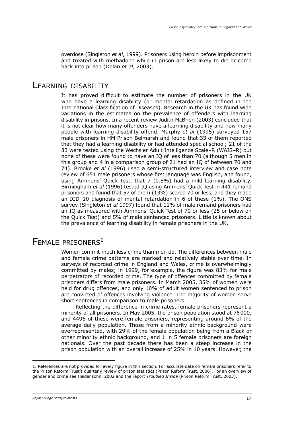overdose (Singleton *et al*, 1999). Prisoners using heroin before imprisonment and treated with methadone while in prison are less likely to die or come back into prison (Dolan *et al*, 2003).

# Learning disability

It has proved difficult to estimate the number of prisoners in the UK who have a learning disability (or mental retardation as defined in the International Classification of Diseases). Research in the UK has found wide variations in the estimates on the prevalence of offenders with learning disability in prisons. In a recent review Judith McBrien (2003) concluded that it is not clear how many offenders have a learning disability and how many people with learning disability offend. Murphy *et al* (1995) surveyed 157 male prisoners in HM Prison Belmarsh and found that 33 of them reported that they had a learning disability or had attended special school; 21 of the 33 were tested using the Wechsler Adult Intelligence Scale–R (WAIS–R) but none of these were found to have an IQ of less than 70 (although 5 men in this group and 4 in a comparison group of 21 had an IQ of between 70 and 74). Brooke *et al* (1996) used a semi-structured interview and case note review of 651 male prisoners whose first language was English, and found, using Ammons' Quick Test, that 7 (0.8%) had a mild learning disability. Birmingham *et al* (1996) tested IQ using Ammons' Quick Test in 441 remand prisoners and found that 57 of them (13%) scored 70 or less, and they made an ICD–10 diagnosis of mental retardation in 6 of these (1%). The ONS survey (Singleton *et al* 1997) found that 11% of male remand prisoners had an IQ as measured with Ammons' Quick Test of 70 or less (25 or below on the Quick Test) and 5% of male sentenced prisoners. Little is known about the prevalence of learning disability in female prisoners in the UK.

# FEMALE PRISONERS<sup>1</sup>

Women commit much less crime than men do. The differences between male and female crime patterns are marked and relatively stable over time. In surveys of recorded crime in England and Wales, crime is overwhelmingly committed by males; in 1999, for example, the figure was 83% for male perpetrators of recorded crime. The type of offences committed by female prisoners differs from male prisoners. In March 2005, 35% of women were held for drug offences, and only 10% of adult women sentenced to prison are convicted of offences involving violence. The majority of women serve short sentences in comparison to male prisoners.

Reflecting the difference in crime rates, female prisoners represent a minority of all prisoners. In May 2005, the prison population stood at 76000, and 4496 of these were female prisoners, representing around 6% of the average daily population. Those from a minority ethnic background were overrepresented, with 29% of the female population being from a Black or other minority ethnic background, and 1 in 5 female prisoners are foreign nationals. Over the past decade there has been a steep increase in the prison population with an overall increase of 25% in 10 years. However, the

<sup>1.</sup> References are not provided for every figure in this section. For accurate data on female prisoners refer to the Prison Reform Trust's quarterly review of prison statistics (Prison Reform Trust, 2006). For an overview of gender and crime see Heidensohn, 2002 and the report *Troubled Inside* (Prison Reform Trust, 2003).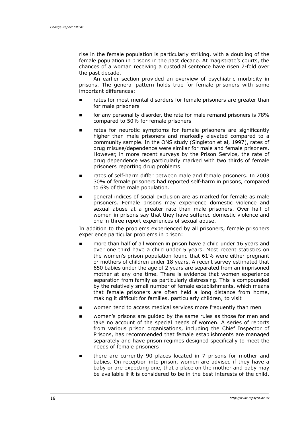rise in the female population is particularly striking, with a doubling of the female population in prisons in the past decade. At magistrate's courts, the chances of a woman receiving a custodial sentence have risen 7-fold over the past decade.

An earlier section provided an overview of psychiatric morbidity in prisons. The general pattern holds true for female prisoners with some important differences:

- rates for most mental disorders for female prisoners are greater than for male prisoners ∎
- for any personality disorder, the rate for male remand prisoners is 78% compared to 50% for female prisoners ∎
- rates for neurotic symptoms for female prisoners are significantly higher than male prisoners and markedly elevated compared to a community sample. In the ONS study (Singleton et al, 1997), rates of drug misuse/dependence were similar for male and female prisoners. However, in more recent surveys by the Prison Service, the rate of drug dependence was particularly marked with two thirds of female prisoners reporting drug problems E
- rates of self-harm differ between male and female prisoners. In 2003 30% of female prisoners had reported self-harm in prisons, compared to 6% of the male population. E
- general indices of social exclusion are as marked for female as male prisoners. Female prisons may experience domestic violence and sexual abuse at a greater rate than male prisoners. Over half of women in prisons say that they have suffered domestic violence and one in three report experiences of sexual abuse. E

In addition to the problems experienced by all prisoners, female prisoners experience particular problems in prison:

- more than half of all women in prison have a child under 16 years and over one third have a child under 5 years. Most recent statistics on the women's prison population found that 61% were either pregnant or mothers of children under 18 years. A recent survey estimated that 650 babies under the age of 2 years are separated from an imprisoned mother at any one time. There is evidence that women experience separation from family as particularly distressing. This is compounded by the relatively small number of female establishments, which means that female prisoners are often held a long distance from home, making it difficult for families, particularly children, to visit E
- women tend to access medical services more frequently than men E
- women's prisons are guided by the same rules as those for men and take no account of the special needs of women. A series of reports from various prison organisations, including the Chief Inspector of Prisons, has recommended that female establishments are managed separately and have prison regimes designed specifically to meet the needs of female prisoners ∎
- there are currently 90 places located in 7 prisons for mother and babies. On reception into prison, women are advised if they have a baby or are expecting one, that a place on the mother and baby may be available if it is considered to be in the best interests of the child. ∎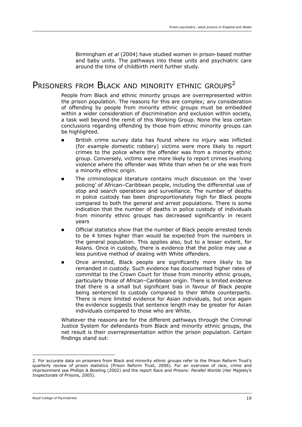Birmingham *et al* (2004) have studied women in prison-based mother and baby units. The pathways into these units and psychiatric care around the time of childbirth merit further study.

# PRISONERS FROM BLACK AND MINORITY ETHNIC GROUPS<sup>2</sup>

People from Black and ethnic minority groups are overrepresented within the prison population. The reasons for this are complex; any consideration of offending by people from minority ethnic groups must be embedded within a wider consideration of discrimination and exclusion within society, a task well beyond the remit of this Working Group. None the less certain conclusions regarding offending by those from ethnic minority groups can be highlighted.

- British crime survey data has found where no injury was inflicted (for example domestic robbery) victims were more likely to report crimes to the police where the offender was from a minority ethnic group. Conversely, victims were more likely to report crimes involving violence where the offender was White than when he or she was from a minority ethnic origin.  $\blacksquare$
- The criminological literature contains much discussion on the 'over policing' of African–Caribbean people, including the differential use of stop and search operations and surveillance. The number of deaths in police custody has been disproportionately high for Black people compared to both the general and arrest populations. There is some indication that the number of deaths in police custody of individuals from minority ethnic groups has decreased significantly in recent years  $\blacksquare$
- Official statistics show that the number of Black people arrested tends to be 4 times higher than would be expected from the numbers in the general population. This applies also, but to a lesser extent, for Asians. Once in custody, there is evidence that the police may use a less punitive method of dealing with White offenders. ∎
- Once arrested, Black people are significantly more likely to be remanded in custody. Such evidence has documented higher rates of committal to the Crown Court for those from minority ethnic groups, particularly those of African–Caribbean origin. There is limited evidence that there is a small but significant bias in favour of Black people being sentenced to custody compared to their White counterparts. There is more limited evidence for Asian individuals, but once again the evidence suggests that sentence length may be greater for Asian individuals compared to those who are White.  $\blacksquare$

Whatever the reasons are for the different pathways through the Criminal Justice System for defendants from Black and minority ethnic groups, the net result is their overrepresentation within the prison population. Certain findings stand out:

<sup>2.</sup> For accurate data on prisoners from Black and minority ethnic groups refer to the Prison Reform Trust's quarterly review of prison statistics (Prison Reform Trust, 2006). For an overview of race, crime and imprisonment see Phillips & Bowling (2002) and the report *Race and Prisons: Parallel Worlds* (Her Majesty's Inspectorate of Prisons, 2005).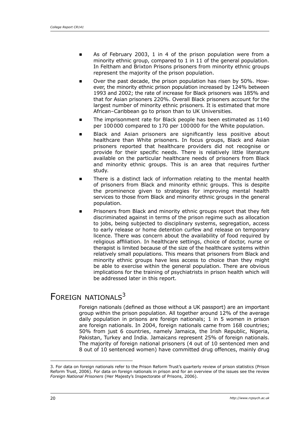- As of February 2003, 1 in 4 of the prison population were from a minority ethnic group, compared to 1 in 11 of the general population. In Feltham and Brixton Prisons prisoners from minority ethnic groups represent the majority of the prison population. E
- Over the past decade, the prison population has risen by 50%. However, the minority ethnic prison population increased by 124% between 1993 and 2002; the rate of increase for Black prisoners was 185% and that for Asian prisoners 220%. Overall Black prisoners account for the largest number of minority ethnic prisoners. It is estimated that more African–Caribbean go to prison than to UK Universities. ∎
- The imprisonment rate for Black people has been estimated as 1140 per 100000 compared to 170 per 100000 for the White population. E
- Black and Asian prisoners are significantly less positive about healthcare than White prisoners. In focus groups, Black and Asian prisoners reported that healthcare providers did not recognise or provide for their specific needs. There is relatively little literature available on the particular healthcare needs of prisoners from Black and minority ethnic groups. This is an area that requires further study. ∎
- There is a distinct lack of information relating to the mental health of prisoners from Black and minority ethnic groups. This is despite the prominence given to strategies for improving mental health services to those from Black and minority ethnic groups in the general population.  $\blacksquare$
- Prisoners from Black and minority ethnic groups report that they felt discriminated against in terms of the prison regime such as allocation to jobs, being subjected to disciplinary systems, segregation, access to early release or home detention curfew and release on temporary licence. There was concern about the availability of food required by religious affiliation. In healthcare settings, choice of doctor, nurse or therapist is limited because of the size of the healthcare systems within relatively small populations. This means that prisoners from Black and minority ethnic groups have less access to choice than they might be able to exercise within the general population. There are obvious implications for the training of psychiatrists in prison health which will be addressed later in this report. E

# FOREIGN NATIONALS<sup>3</sup>

Foreign nationals (defined as those without a UK passport) are an important group within the prison population. All together around 12% of the average daily population in prisons are foreign nationals; 1 in 5 women in prison are foreign nationals. In 2004, foreign nationals came from 168 countries; 50% from just 6 countries, namely Jamaica, the Irish Republic, Nigeria, Pakistan, Turkey and India. Jamaicans represent 25% of foreign nationals. The majority of foreign national prisoners (4 out of 10 sentenced men and 8 out of 10 sentenced women) have committed drug offences, mainly drug

<sup>3.</sup> For data on foreign nationals refer to the Prison Reform Trust's quarterly review of prison statistics (Prison Reform Trust, 2006). For data on foreign nationals in prison and for an overview of the issues see the review *Foreign National Prisoners* (Her Majesty's Inspectorate of Prisons, 2006).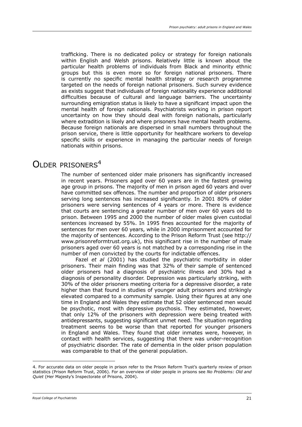trafficking. There is no dedicated policy or strategy for foreign nationals within English and Welsh prisons. Relatively little is known about the particular health problems of individuals from Black and minority ethnic groups but this is even more so for foreign national prisoners. There is currently no specific mental health strategy or research programme targeted on the needs of foreign national prisoners. Such survey evidence as exists suggest that individuals of foreign nationality experience additional difficulties because of cultural and language barriers. The uncertainty surrounding emigration status is likely to have a significant impact upon the mental health of foreign nationals. Psychiatrists working in prison report uncertainty on how they should deal with foreign nationals, particularly where extradition is likely and where prisoners have mental health problems. Because foreign nationals are dispersed in small numbers throughout the prison service, there is little opportunity for healthcare workers to develop specific skills or experience in managing the particular needs of foreign nationals within prisons.

## $\Omega$ LDER PRISONERS<sup>4</sup>

The number of sentenced older male prisoners has significantly increased in recent years. Prisoners aged over 60 years are in the fastest growing age group in prisons. The majority of men in prison aged 60 years and over have committed sex offences. The number and proportion of older prisoners serving long sentences has increased significantly. In 2001 80% of older prisoners were serving sentences of 4 years or more. There is evidence that courts are sentencing a greater number of men over 60 years old to prison. Between 1995 and 2000 the number of older males given custodial sentences increased by 55%. In 1995 fines accounted for the majority of sentences for men over 60 years, while in 2000 imprisonment accounted for the majority of sentences. According to the Prison Reform Trust (see http:// www.prisonreformtrust.org.uk), this significant rise in the number of male prisoners aged over 60 years is not matched by a corresponding rise in the number of men convicted by the courts for indictable offences.

Fazel *et al* (2001) has studied the psychiatric morbidity in older prisoners. Their main finding was that 32% of their sample of sentenced older prisoners had a diagnosis of psychiatric illness and 30% had a diagnosis of personality disorder. Depression was particularly striking, with 30% of the older prisoners meeting criteria for a depressive disorder, a rate higher than that found in studies of younger adult prisoners and strikingly elevated compared to a community sample. Using their figures at any one time in England and Wales they estimate that 52 older sentenced men would be psychotic, most with depressive psychosis. They estimated, however, that only 12% of the prisoners with depression were being treated with antidepressants, suggesting significant unmet need. The situation regarding treatment seems to be worse than that reported for younger prisoners in England and Wales. They found that older inmates were, however, in contact with health services, suggesting that there was under-recognition of psychiatric disorder. The rate of dementia in the older prison population was comparable to that of the general population.

<sup>4.</sup> For accurate data on older people in prison refer to the Prison Reform Trust's quarterly review of prison statistics (Prison Reform Trust, 2006). For an overview of older people in prisons see *No Problems: Old and Quiet* (Her Majesty's Inspectorate of Prisons, 2004).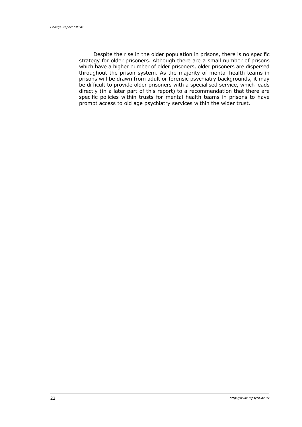Despite the rise in the older population in prisons, there is no specific strategy for older prisoners. Although there are a small number of prisons which have a higher number of older prisoners, older prisoners are dispersed throughout the prison system. As the majority of mental health teams in prisons will be drawn from adult or forensic psychiatry backgrounds, it may be difficult to provide older prisoners with a specialised service, which leads directly (in a later part of this report) to a recommendation that there are specific policies within trusts for mental health teams in prisons to have prompt access to old age psychiatry services within the wider trust.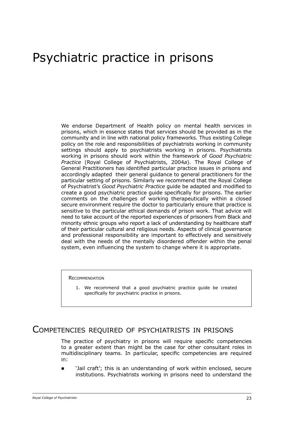# Psychiatric practice in prisons

We endorse Department of Health policy on mental health services in prisons, which in essence states that services should be provided as in the community and in line with national policy frameworks. Thus existing College policy on the role and responsibilities of psychiatrists working in community settings should apply to psychiatrists working in prisons. Psychiatrists working in prisons should work within the framework of *Good Psychiatric Practice* (Royal College of Psychiatrists, 2004*a*). The Royal College of General Practitioners has identified particular practice issues in prisons and accordingly adapted their general guidance to general practitioners for the particular setting of prisons. Similarly we recommend that the Royal College of Psychiatrist's *Good Psychiatric Practice* guide be adapted and modified to create a good psychiatric practice guide specifically for prisons. The earlier comments on the challenges of working therapeutically within a closed secure environment require the doctor to particularly ensure that practice is sensitive to the particular ethical demands of prison work. That advice will need to take account of the reported experiences of prisoners from Black and minority ethnic groups who report a lack of understanding by healthcare staff of their particular cultural and religious needs. Aspects of clinical governance and professional responsibility are important to effectively and sensitively deal with the needs of the mentally disordered offender within the penal system, even influencing the system to change where it is appropriate.

**RECOMMENDATION** 

1. We recommend that a good psychiatric practice guide be created specifically for psychiatric practice in prisons.

## Competencies required of psychiatrists in prisons

The practice of psychiatry in prisons will require specific competencies to a greater extent than might be the case for other consultant roles in multidisciplinary teams. In particular, specific competencies are required in:

'Jail craft'; this is an understanding of work within enclosed, secure institutions. Psychiatrists working in prisons need to understand the  $\blacksquare$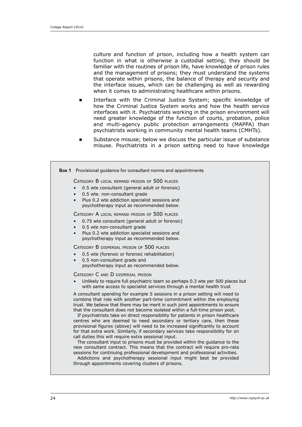culture and function of prison, including how a health system can function in what is otherwise a custodial setting; they should be familiar with the routines of prison life, have knowledge of prison rules and the management of prisons; they must understand the systems that operate within prisons, the balance of therapy and security and the interface issues, which can be challenging as well as rewarding when it comes to administrating healthcare within prisons.

- Interface with the Criminal Justice System; specific knowledge of how the Criminal Justice System works and how the health service interfaces with it. Psychiatrists working in the prison environment will need greater knowledge of the function of courts, probation, police and multi-agency public protection arrangements (MAPPA) than psychiatrists working in community mental health teams (CMHTs). ∎
- Substance misuse; below we discuss the particular issue of substance misuse. Psychiatrists in a prison setting need to have knowledge ∎

|                                                                                                                                                                                                                                                                                                                                                                                                                                                                                                                                                                                                                                                                                                                                                                                                                                                                                                                                                                                                                                                                                                    | <b>Box 1</b> Provisional guidance for consultant norms and appointments                                                                                                                                                                                  |  |
|----------------------------------------------------------------------------------------------------------------------------------------------------------------------------------------------------------------------------------------------------------------------------------------------------------------------------------------------------------------------------------------------------------------------------------------------------------------------------------------------------------------------------------------------------------------------------------------------------------------------------------------------------------------------------------------------------------------------------------------------------------------------------------------------------------------------------------------------------------------------------------------------------------------------------------------------------------------------------------------------------------------------------------------------------------------------------------------------------|----------------------------------------------------------------------------------------------------------------------------------------------------------------------------------------------------------------------------------------------------------|--|
|                                                                                                                                                                                                                                                                                                                                                                                                                                                                                                                                                                                                                                                                                                                                                                                                                                                                                                                                                                                                                                                                                                    | CATEGORY B LOCAL REMAND PRISON OF 500 PLACES<br>0.5 wte consultant (general adult or forensic)<br>0.5 wte. non-consultant grade<br>$\bullet$                                                                                                             |  |
|                                                                                                                                                                                                                                                                                                                                                                                                                                                                                                                                                                                                                                                                                                                                                                                                                                                                                                                                                                                                                                                                                                    | Plus 0.2 wte addiction specialist sessions and<br>$\bullet$<br>psychotherapy input as recommended below.                                                                                                                                                 |  |
|                                                                                                                                                                                                                                                                                                                                                                                                                                                                                                                                                                                                                                                                                                                                                                                                                                                                                                                                                                                                                                                                                                    | CATEGORY A LOCAL REMAND PRISON OF 500 PLACES<br>0.75 wte consultant (general adult or forensic)<br>0.5 wte non-consultant grade<br>$\bullet$<br>Plus 0.2 wte addiction specialist sessions and<br>$\bullet$<br>psychotherapy input as recommended below. |  |
|                                                                                                                                                                                                                                                                                                                                                                                                                                                                                                                                                                                                                                                                                                                                                                                                                                                                                                                                                                                                                                                                                                    | CATEGORY B DISPERSAL PRISON OF 500 PLACES<br>0.5 wte (forensic or forensic rehabilitation)<br>0.5 non-consultant grade and<br>$\bullet$<br>psychotherapy input as recommended below.                                                                     |  |
|                                                                                                                                                                                                                                                                                                                                                                                                                                                                                                                                                                                                                                                                                                                                                                                                                                                                                                                                                                                                                                                                                                    | CATEGORY C AND D DISPERSAL PRISON<br>Unlikely to require full psychiatric team so perhaps 0.3 wte per 500 places but<br>with same access to specialist services through a mental health trust                                                            |  |
| A consultant spending for example 5 sessions in a prison setting will need to<br>combine that role with another part-time commitment within the employing<br>trust. We believe that there may be merit in such joint appointments to ensure<br>that the consultant does not become isolated within a full-time prison post.<br>If psychiatrists take on direct responsibility for patients in prison healthcare<br>centres who are deemed to need secondary or tertiary care, then these<br>provisional figures (above) will need to be increased significantly to account<br>for that extra work. Similarly, if secondary services take responsibility for on<br>call duties this will require extra sessional input.<br>The consultant input to prisons must be provided within the guidance to the<br>new consultant contract. This means that the contract will require pro-rata<br>sessions for continuing professional development and professional activities.<br>Addictions and psychotherapy sessional input might best be provided<br>through appointments covering clusters of prisons. |                                                                                                                                                                                                                                                          |  |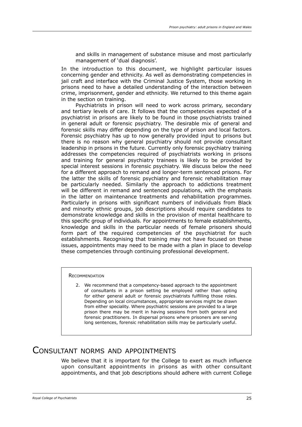and skills in management of substance misuse and most particularly management of 'dual diagnosis'.

In the introduction to this document, we highlight particular issues concerning gender and ethnicity. As well as demonstrating competencies in jail craft and interface with the Criminal Justice System, those working in prisons need to have a detailed understanding of the interaction between crime, imprisonment, gender and ethnicity. We returned to this theme again in the section on training.

Psychiatrists in prison will need to work across primary, secondary and tertiary levels of care. It follows that the competencies expected of a psychiatrist in prisons are likely to be found in those psychiatrists trained in general adult or forensic psychiatry. The desirable mix of general and forensic skills may differ depending on the type of prison and local factors. Forensic psychiatry has up to now generally provided input to prisons but there is no reason why general psychiatry should not provide consultant leadership in prisons in the future. Currently only forensic psychiatry training addresses the competencies required of psychiatrists working in prisons and training for general psychiatry trainees is likely to be provided by special interest sessions in forensic psychiatry. We discuss below the need for a different approach to remand and longer-term sentenced prisons. For the latter the skills of forensic psychiatry and forensic rehabilitation may be particularly needed. Similarly the approach to addictions treatment will be different in remand and sentenced populations, with the emphasis in the latter on maintenance treatments and rehabilitation programmes. Particularly in prisons with significant numbers of individuals from Black and minority ethnic groups, job descriptions should require candidates to demonstrate knowledge and skills in the provision of mental healthcare to this specific group of individuals. For appointments to female establishments, knowledge and skills in the particular needs of female prisoners should form part of the required competencies of the psychiatrist for such establishments. Recognising that training may not have focused on these issues, appointments may need to be made with a plan in place to develop these competencies through continuing professional development.

#### **RECOMMENDATION**

2. We recommend that a competency-based approach to the appointment of consultants in a prison setting be employed rather than opting for either general adult or forensic psychiatrists fulfilling those roles. Depending on local circumstances, appropriate services might be drawn from either speciality. Where psychiatric sessions are provided to a large prison there may be merit in having sessions from both general and forensic practitioners. In dispersal prisons where prisoners are serving long sentences, forensic rehabilitation skills may be particularly useful.

### Consultant norms and appointments

We believe that it is important for the College to exert as much influence upon consultant appointments in prisons as with other consultant appointments, and that job descriptions should adhere with current College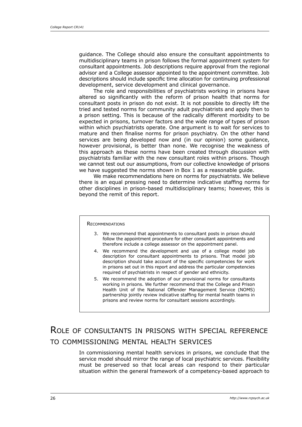guidance. The College should also ensure the consultant appointments to multidisciplinary teams in prison follows the formal appointment system for consultant appointments. Job descriptions require approval from the regional advisor and a College assessor appointed to the appointment committee. Job descriptions should include specific time allocation for continuing professional development, service development and clinical governance.

The role and responsibilities of psychiatrists working in prisons have altered so significantly with the reform of prison health that norms for consultant posts in prison do not exist. It is not possible to directly lift the tried and tested norms for community adult psychiatrists and apply then to a prison setting. This is because of the radically different morbidity to be expected in prisons, turnover factors and the wide range of types of prison within which psychiatrists operate. One argument is to wait for services to mature and then finalise norms for prison psychiatry. On the other hand services are being developed now and (in our opinion) some guidance, however provisional, is better than none. We recognise the weakness of this approach as these norms have been created through discussion with psychiatrists familiar with the new consultant roles within prisons. Though we cannot test out our assumptions, from our collective knowledge of prisons we have suggested the norms shown in Box 1 as a reasonable guide.

We make recommendations here on norms for psychiatrists. We believe there is an equal pressing need to determine indicative staffing norms for other disciplines in prison-based multidisciplinary teams; however, this is beyond the remit of this report.

#### **RECOMMENDATIONS**

- We recommend that appointments to consultant posts in prison should 3. follow the appointment procedure for other consultant appointments and therefore include a college assessor on the appointment panel.
- We recommend the development and use of a college model job 4. description for consultant appointments to prisons. That model job description should take account of the specific competencies for work in prisons set out in this report and address the particular competencies required of psychiatrists in respect of gender and ethnicity.
- 5. We recommend the adoption of our provisional norms for consultants working in prisons. We further recommend that the College and Prison Health Unit of the National Offender Management Service (NOMS) partnership jointly review indicative staffing for mental health teams in prisons and review norms for consultant sessions accordingly.

# Role of consultants in prisons with special reference to commissioning mental health services

In commissioning mental health services in prisons, we conclude that the service model should mirror the range of local psychiatric services. Flexibility must be preserved so that local areas can respond to their particular situation within the general framework of a competency-based approach to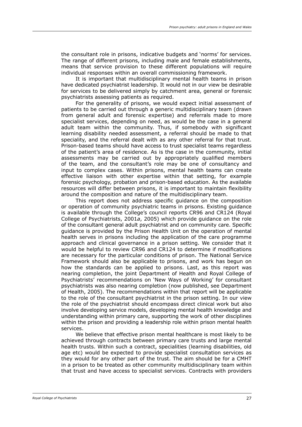the consultant role in prisons, indicative budgets and 'norms' for services. The range of different prisons, including male and female establishments, means that service provision to these different populations will require individual responses within an overall commissioning framework.

It is important that multidisciplinary mental health teams in prison have dedicated psychiatrist leadership. It would not in our view be desirable for services to be delivered simply by catchment area, general or forensic psychiatrists assessing patients as required.

For the generality of prisons, we would expect initial assessment of patients to be carried out through a generic multidisciplinary team (drawn from general adult and forensic expertise) and referrals made to more specialist services, depending on need, as would be the case in a general adult team within the community. Thus, if somebody with significant learning disability needed assessment, a referral should be made to that speciality, and the referral dealt with as any other referral for that trust. Prison-based teams should have access to trust specialist teams regardless of the patient's area of residence. As is the case in the community, initial assessments may be carried out by appropriately qualified members of the team, and the consultant's role may be one of consultancy and input to complex cases. Within prisons, mental health teams can create effective liaison with other expertise within that setting, for example forensic psychology, probation and prison-based education. As the available resources will differ between prisons, it is important to maintain flexibility around the composition and nature of the multidisciplinary team.

This report does not address specific guidance on the composition or operation of community psychiatric teams in prisons. Existing guidance is available through the College's council reports CR96 and CR124 (Royal College of Psychiatrists, 2001*a*, 2005) which provide guidance on the role of the consultant general adult psychiatrist and on community care. Specific guidance is provided by the Prison Health Unit on the operation of mental health serves in prisons including the application of the care programme approach and clinical governance in a prison setting. We consider that it would be helpful to review CR96 and CR124 to determine if modifications are necessary for the particular conditions of prison. The National Service Framework should also be applicable to prisons, and work has begun on how the standards can be applied to prisons. Last, as this report was nearing completion, the joint Department of Health and Royal College of Psychiatrists' recommendations on 'New Ways of Working' for consultant psychiatrists was also nearing completion (now published, see Department of Health, 2005). The recommendations within that report will be applicable to the role of the consultant psychiatrist in the prison setting. In our view the role of the psychiatrist should encompass direct clinical work but also involve developing service models, developing mental health knowledge and understanding within primary care, supporting the work of other disciplines within the prison and providing a leadership role within prison mental health services.

We believe that effective prison mental healthcare is most likely to be achieved through contracts between primary care trusts and large mental health trusts. Within such a contract, specialities (learning disabilities, old age etc) would be expected to provide specialist consultation services as they would for any other part of the trust. The aim should be for a CMHT in a prison to be treated as other community multidisciplinary team within that trust and have access to specialist services. Contracts with providers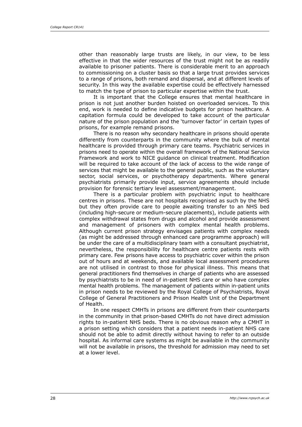other than reasonably large trusts are likely, in our view, to be less effective in that the wider resources of the trust might not be as readily available to prisoner patients. There is considerable merit to an approach to commissioning on a cluster basis so that a large trust provides services to a range of prisons, both remand and dispersal, and at different levels of security. In this way the available expertise could be effectively harnessed to match the type of prison to particular expertise within the trust.

It is important that the College ensures that mental healthcare in prison is not just another burden hoisted on overloaded services. To this end, work is needed to define indicative budgets for prison healthcare. A capitation formula could be developed to take account of the particular nature of the prison population and the 'turnover factor' in certain types of prisons, for example remand prisons.

There is no reason why secondary healthcare in prisons should operate differently from counterparts in the community where the bulk of mental healthcare is provided through primary care teams. Psychiatric services in prisons need to operate within the overall framework of the National Service Framework and work to NICE guidance on clinical treatment. Modification will be required to take account of the lack of access to the wide range of services that might be available to the general public, such as the voluntary sector, social services, or psychotherapy departments. Where general psychiatrists primarily provide input, service agreements should include provision for forensic tertiary level assessment/management.

There is a particular problem with psychiatric input to healthcare centres in prisons. These are not hospitals recognised as such by the NHS but they often provide care to people awaiting transfer to an NHS bed (including high-secure or medium-secure placements), include patients with complex withdrawal states from drugs and alcohol and provide assessment and management of prisoners with complex mental health problems. Although current prison strategy envisages patients with complex needs (as might be addressed through enhanced care programme approach) will be under the care of a multidisciplinary team with a consultant psychiatrist, nevertheless, the responsibility for healthcare centre patients rests with primary care. Few prisons have access to psychiatric cover within the prison out of hours and at weekends, and available local assessment procedures are not utilised in contrast to those for physical illness. This means that general practitioners find themselves in charge of patients who are assessed by psychiatrists to be in need of in-patient NHS care or who have complex mental health problems. The management of patients within in-patient units in prison needs to be reviewed by the Royal College of Psychiatrists, Royal College of General Practitioners and Prison Health Unit of the Department of Health.

In one respect CMHTs in prisons are different from their counterparts in the community in that prison-based CMHTs do not have direct admission rights to in-patient NHS beds. There is no obvious reason why a CMHT in a prison setting which considers that a patient needs in-patient NHS care should not be able to admit directly without having to refer to an outside hospital. As informal care systems as might be available in the community will not be available in prisons, the threshold for admission may need to set at a lower level.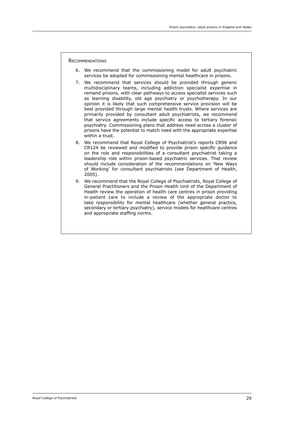**RECOMMENDATIONS** 

- We recommend that the commissioning model for adult psychiatric 6. services be adopted for commissioning mental healthcare in prisons.
- 7. We recommend that services should be provided through generic multidisciplinary teams, including addiction specialist expertise in remand prisons, with clear pathways to access specialist services such as learning disability, old age psychiatry or psychotherapy. In our opinion it is likely that such comprehensive service provision will be best provided through large mental health trusts. Where services are primarily provided by consultant adult psychiatrists, we recommend that service agreements include specific access to tertiary forensic psychiatry. Commissioning plans that address need across a cluster of prisons have the potential to match need with the appropriate expertise within a trust.
- 8. We recommend that Royal College of Psychiatrist's reports CR96 and CR124 be reviewed and modified to provide prison specific guidance on the role and responsibilities of a consultant psychiatrist taking a leadership role within prison-based psychiatric services. That review should include consideration of the recommendations on 'New Ways of Working' for consultant psychiatrists (see Department of Health, 2005).
- 9. We recommend that the Royal College of Psychiatrists, Royal College of General Practitioners and the Prison Health Unit of the Department of Health review the operation of health care centres in prison providing in-patient care to include a review of the appropriate doctor to take responsibility for mental healthcare (whether general practice, secondary or tertiary psychiatry), service models for healthcare centres and appropriate staffing norms.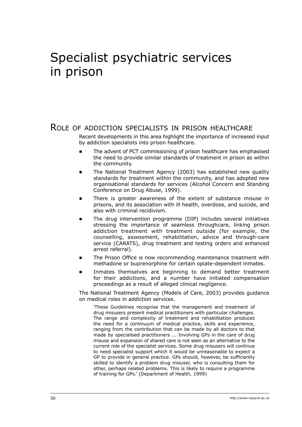# Specialist psychiatric services in prison

## Role of addiction specialists in prison healthcare

Recent developments in this area highlight the importance of increased input by addiction specialists into prison healthcare.

- The advent of PCT commissioning of prison healthcare has emphasised the need to provide similar standards of treatment in prison as within the community. E
- The National Treatment Agency (2003) has established new quality standards for treatment within the community, and has adopted new organisational standards for services (Alcohol Concern and Standing Conference on Drug Abuse, 1999). E
- There is greater awareness of the extent of substance misuse in prisons, and its association with ill health, overdose, and suicide, and also with criminal recidivism.  $\blacksquare$
- The drug intervention programme (DIP) includes several initiatives stressing the importance of seamless throughcare, linking prison addiction treatment with treatment outside (for example, the counselling, assessment, rehabilitation, advice and through-care service (CARATS), drug treatment and testing orders and enhanced arrest referral). E
- The Prison Office is now recommending maintenance treatment with methadone or buprenorphine for certain opiate-dependent inmates. ∎
- Inmates themselves are beginning to demand better treatment for their addictions, and a number have initiated compensation proceedings as a result of alleged clinical negligence. ∎

The National Treatment Agency (Models of Care, 2003) provides guidance on medical roles in addiction services.

'These Guidelines recognise that the management and treatment of drug misusers present medical practitioners with particular challenges. The range and complexity of treatment and rehabilitation produces the need for a continuum of medical practice, skills and experience, ranging from the contribution that can be made by all doctors to that made by specialised practitioners ... Involving GPs in the care of drug misuse and expansion of shared care is not seen as an alternative to the current role of the specialist services. Some drug misusers will continue to need specialist support which it would be unreasonable to expect a GP to provide in general practice. GPs should, however, be sufficiently skilled to identify a problem drug misuser, who is consulting them for other, perhaps related problems. This is likely to require a programme of training for GPs.' (Department of Health, 1999)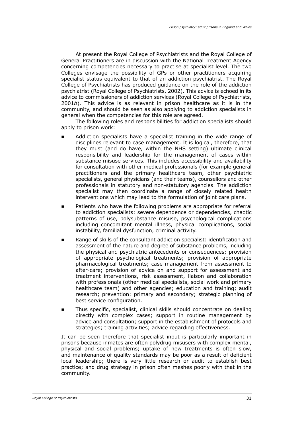At present the Royal College of Psychiatrists and the Royal College of General Practitioners are in discussion with the National Treatment Agency concerning competencies necessary to practise at specialist level. The two Colleges envisage the possibility of GPs or other practitioners acquiring specialist status equivalent to that of an addiction psychiatrist. The Royal College of Psychiatrists has produced guidance on the role of the addiction psychiatrist (Royal College of Psychiatrists, 2002). This advice is echoed in its advice to commissioners of addiction services (Royal College of Psychiatrists, 2001*b*). This advice is as relevant in prison healthcare as it is in the community, and should be seen as also applying to addiction specialists in general when the competencies for this role are agreed.

The following roles and responsibilities for addiction specialists should apply to prison work:

- Addiction specialists have a specialist training in the wide range of disciplines relevant to case management. It is logical, therefore, that they must (and do have, within the NHS setting) ultimate clinical responsibility and leadership for the management of cases within substance misuse services. This includes accessibility and availability for consultation with other medical professionals (for example general practitioners and the primary healthcare team, other psychiatric specialists, general physicians (and their teams), counsellors and other professionals in statutory and non-statutory agencies. The addiction specialist may then coordinate a range of closely related health interventions which may lead to the formulation of joint care plans. ∎
- Patients who have the following problems are appropriate for referral to addiction specialists: severe dependence or dependencies, chaotic patterns of use, polysubstance misuse, psychological complications including concomitant mental illness, physical complications, social instability, familial dysfunction, criminal activity.
- Range of skills of the consultant addiction specialist: identification and assessment of the nature and degree of substance problems, including the physical and psychiatric antecedents or consequences; provision of appropriate psychological treatments; provision of appropriate pharmacological treatments; case management from assessment to after-care; provision of advice on and support for assessment and treatment interventions, risk assessment, liaison and collaboration with professionals (other medical specialists, social work and primary healthcare team) and other agencies; education and training; audit research; prevention: primary and secondary; strategic planning of best service configuration.
- Thus specific, specialist, clinical skills should concentrate on dealing directly with complex cases; support in routine management by advice and consultation; support in the establishment of protocols and strategies; training activities; advice regarding effectiveness.  $\blacksquare$

It can be seen therefore that specialist input is particularly important in prisons because inmates are often polydrug misusers with complex mental, physical and social problems; uptake of new treatments is often slow, and maintenance of quality standards may be poor as a result of deficient local leadership; there is very little research or audit to establish best practice; and drug strategy in prison often meshes poorly with that in the community.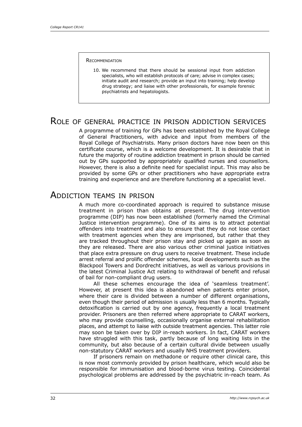**RECOMMENDATION** 

10. We recommend that there should be sessional input from addiction specialists, who will establish protocols of care; advise in complex cases; initiate audit and research; provide an input into training; help develop drug strategy; and liaise with other professionals, for example forensic psychiatrists and hepatologists.

## Role of general practice in prison addiction services

A programme of training for GPs has been established by the Royal College of General Practitioners, with advice and input from members of the Royal College of Psychiatrists. Many prison doctors have now been on this certificate course, which is a welcome development. It is desirable that in future the majority of routine addiction treatment in prison should be carried out by GPs supported by appropriately qualified nurses and counsellors. However, there is also a definite need for specialist input. This may also be provided by some GPs or other practitioners who have appropriate extra training and experience and are therefore functioning at a specialist level.

## Addiction teams in prison

A much more co-coordinated approach is required to substance misuse treatment in prison than obtains at present. The drug intervention programme (DIP) has now been established (formerly named the Criminal Justice intervention programme). One of its aims is to attract potential offenders into treatment and also to ensure that they do not lose contact with treatment agencies when they are imprisoned, but rather that they are tracked throughout their prison stay and picked up again as soon as they are released. There are also various other criminal justice initiatives that place extra pressure on drug users to receive treatment. These include arrest referral and prolific offender schemes, local developments such as the Blackpool Towers and Dordrecht initiatives, as well as various provisions in the latest Criminal Justice Act relating to withdrawal of benefit and refusal of bail for non-compliant drug users.

All these schemes encourage the idea of 'seamless treatment'. However, at present this idea is abandoned when patients enter prison, where their care is divided between a number of different organisations, even though their period of admission is usually less than 6 months. Typically detoxification is carried out by one agency, frequently a local treatment provider. Prisoners are then referred where appropriate to CARAT workers, who may provide counselling, occasionally organise external rehabilitation places, and attempt to liaise with outside treatment agencies. This latter role may soon be taken over by DIP in-reach workers. In fact, CARAT workers have struggled with this task, partly because of long waiting lists in the community, but also because of a certain cultural divide between usually non-statutory CARAT workers and usually NHS treatment providers.

If prisoners remain on methadone or require other clinical care, this is now most commonly provided by prison healthcare, which would also be responsible for immunisation and blood-borne virus testing. Coincidental psychological problems are addressed by the psychiatric in-reach team. As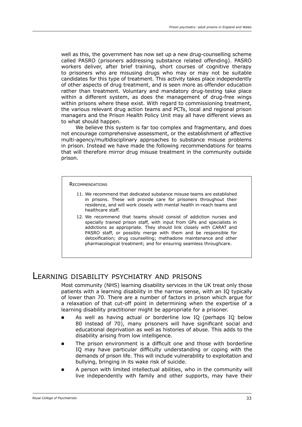well as this, the government has now set up a new drug-counselling scheme called PASRO (prisoners addressing substance related offending). PASRO workers deliver, after brief training, short courses of cognitive therapy to prisoners who are misusing drugs who may or may not be suitable candidates for this type of treatment. This activity takes place independently of other aspects of drug treatment, and is seen more as offender education rather than treatment. Voluntary and mandatory drug-testing take place within a different system, as does the management of drug-free wings within prisons where these exist. With regard to commissioning treatment, the various relevant drug action teams and PCTs, local and regional prison managers and the Prison Health Policy Unit may all have different views as to what should happen.

We believe this system is far too complex and fragmentary, and does not encourage comprehensive assessment, or the establishment of affective multi-agency/multidisciplinary approaches to substance misuse problems in prison. Instead we have made the following recommendations for teams that will therefore mirror drug misuse treatment in the community outside prison.

#### **RECOMMENDATIONS**

- 11. We recommend that dedicated substance misuse teams are established in prisons. These will provide care for prisoners throughout their residence, and will work closely with mental health in-reach teams and healthcare staff.
- 12. We recommend that teams should consist of addiction nurses and specially trained prison staff, with input from GPs and specialists in addictions as appropriate. They should link closely with CARAT and PASRO staff, or possibly merge with them and be responsible for detoxification; drug counselling; methadone maintenance and other pharmacological treatment; and for ensuring seamless throughcare.

## Learning disability psychiatry and prisons

Most community (NHS) learning disability services in the UK treat only those patients with a learning disability in the narrow sense, with an IQ typically of lower than 70. There are a number of factors in prison which argue for a relaxation of that cut-off point in determining when the expertise of a learning disability practitioner might be appropriate for a prisoner.

- As well as having actual or borderline low IQ (perhaps IQ below 80 instead of 70), many prisoners will have significant social and educational deprivation as well as histories of abuse. This adds to the disability arising from low intelligence. ∎
- The prison environment is a difficult one and those with borderline IQ may have particular difficulty understanding or coping with the demands of prison life. This will include vulnerability to exploitation and bullying, bringing in its wake risk of suicide. ∎
- A person with limited intellectual abilities, who in the community will live independently with family and other supports, may have their  $\blacksquare$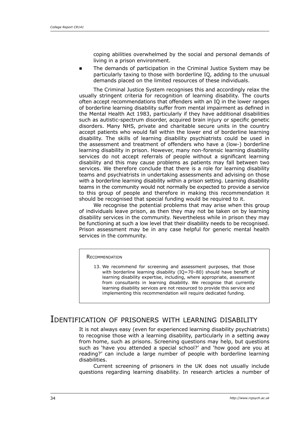coping abilities overwhelmed by the social and personal demands of living in a prison environment.

The demands of participation in the Criminal Justice System may be particularly taxing to those with borderline IQ, adding to the unusual demands placed on the limited resources of these individuals. ∎

The Criminal Justice System recognises this and accordingly relax the usually stringent criteria for recognition of learning disability. The courts often accept recommendations that offenders with an IQ in the lower ranges of borderline learning disability suffer from mental impairment as defined in the Mental Health Act 1983, particularly if they have additional disabilities such as autistic-spectrum disorder, acquired brain injury or specific genetic disorders. Many NHS, private and charitable secure units in the country accept patients who would fall within the lower end of borderline learning disability. The skills of learning disability psychiatrists could be used in the assessment and treatment of offenders who have a (low-) borderline learning disability in prison. However, many non-forensic learning disability services do not accept referrals of people without a significant learning disability and this may cause problems as patients may fall between two services. We therefore conclude that there is a role for learning disability teams and psychiatrists in undertaking assessments and advising on those with a borderline learning disability within a prison setting. Learning disability teams in the community would not normally be expected to provide a service to this group of people and therefore in making this recommendation it should be recognised that special funding would be required to it.

We recognise the potential problems that may arise when this group of individuals leave prison, as then they may not be taken on by learning disability services in the community. Nevertheless while in prison they may be functioning at such a low level that their disability needs to be recognised. Prison assessment may be in any case helpful for generic mental health services in the community.

#### **RECOMMENDATION**

13. We recommend for screening and assessment purposes, that those with borderline learning disability (IO=70–80) should have benefit of learning disability expertise, including, where appropriate, assessment from consultants in learning disability. We recognise that currently learning disability services are not resourced to provide this service and implementing this recommendation will require dedicated funding.

## Identification of prisoners with learning disability

It is not always easy (even for experienced learning disability psychiatrists) to recognise those with a learning disability, particularly in a setting away from home, such as prisons. Screening questions may help, but questions such as 'have you attended a special school?' and 'how good are you at reading?' can include a large number of people with borderline learning disabilities.

Current screening of prisoners in the UK does not usually include questions regarding learning disability. In research articles a number of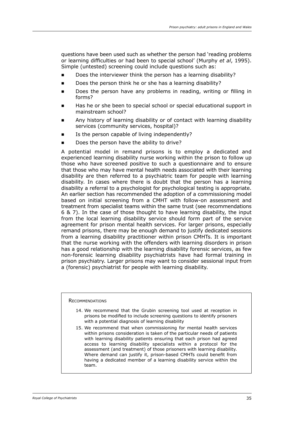questions have been used such as whether the person had 'reading problems or learning difficulties or had been to special school' (Murphy *et al*, 1995). Simple (untested) screening could include questions such as:

- Does the interviewer think the person has a learning disability?  $\blacksquare$
- Does the person think he or she has a learning disability?  $\blacksquare$
- Does the person have any problems in reading, writing or filling in forms? ∎
- Has he or she been to special school or special educational support in mainstream school? ∎
- Any history of learning disability or of contact with learning disability services (community services, hospital)?
- Is the person capable of living independently? ∎
- Does the person have the ability to drive?

A potential model in remand prisons is to employ a dedicated and experienced learning disability nurse working within the prison to follow up those who have screened positive to such a questionnaire and to ensure that those who may have mental health needs associated with their learning disability are then referred to a psychiatric team for people with learning disability. In cases where there is doubt that the person has a learning disability a referral to a psychologist for psychological testing is appropriate. An earlier section has recommended the adoption of a commissioning model based on initial screening from a CMHT with follow-on assessment and treatment from specialist teams within the same trust (see recommendations 6 & 7). In the case of those thought to have learning disability, the input from the local learning disability service should form part of the service agreement for prison mental health services. For larger prisons, especially remand prisons, there may be enough demand to justify dedicated sessions from a learning disability practitioner within prison CMHTs. It is important that the nurse working with the offenders with learning disorders in prison has a good relationship with the learning disability forensic services, as few non-forensic learning disability psychiatrists have had formal training in prison psychiatry. Larger prisons may want to consider sessional input from a (forensic) psychiatrist for people with learning disability.

**RECOMMENDATIONS** 

- 14. We recommend that the Grubin screening tool used at reception in prisons be modified to include screening questions to identify prisoners with a potential diagnosis of learning disability
- 15. We recommend that when commissioning for mental health services within prisons consideration is taken of the particular needs of patients with learning disability patients ensuring that each prison had agreed access to learning disability specialists within a protocol for the assessment (and treatment) of those prisoners with learning disability. Where demand can justify it, prison-based CMHTs could benefit from having a dedicated member of a learning disability service within the team.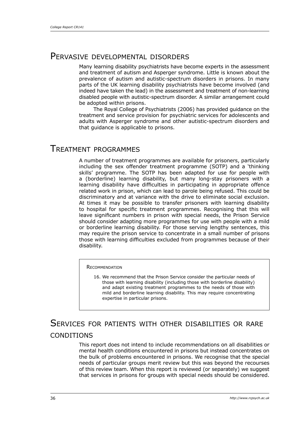## Pervasive developmental disorders

Many learning disability psychiatrists have become experts in the assessment and treatment of autism and Asperger syndrome. Little is known about the prevalence of autism and autistic-spectrum disorders in prisons. In many parts of the UK learning disability psychiatrists have become involved (and indeed have taken the lead) in the assessment and treatment of non-learning disabled people with autistic-spectrum disorder. A similar arrangement could be adopted within prisons.

The Royal College of Psychiatrists (2006) has provided guidance on the treatment and service provision for psychiatric services for adolescents and adults with Asperger syndrome and other autistic-spectrum disorders and that guidance is applicable to prisons.

## Treatment programmes

A number of treatment programmes are available for prisoners, particularly including the sex offender treatment programme (SOTP) and a 'thinking skills' programme. The SOTP has been adapted for use for people with a (borderline) learning disability, but many long-stay prisoners with a learning disability have difficulties in participating in appropriate offence related work in prison, which can lead to parole being refused. This could be discriminatory and at variance with the drive to eliminate social exclusion. At times it may be possible to transfer prisoners with learning disability to hospital for specific treatment programmes. Recognising that this will leave significant numbers in prison with special needs, the Prison Service should consider adapting more programmes for use with people with a mild or borderline learning disability. For those serving lengthy sentences, this may require the prison service to concentrate in a small number of prisons those with learning difficulties excluded from programmes because of their disability.

#### **RECOMMENDATION**

16. We recommend that the Prison Service consider the particular needs of those with learning disability (including those with borderline disability) and adapt existing treatment programmes to the needs of those with mild and borderline learning disability. This may require concentrating expertise in particular prisons.

# Services for patients with other disabilities or rare **CONDITIONS**

This report does not intend to include recommendations on all disabilities or mental health conditions encountered in prisons but instead concentrates on the bulk of problems encountered in prisons. We recognise that the special needs of particular groups merit review but this was beyond the recourses of this review team. When this report is reviewed (or separately) we suggest that services in prisons for groups with special needs should be considered.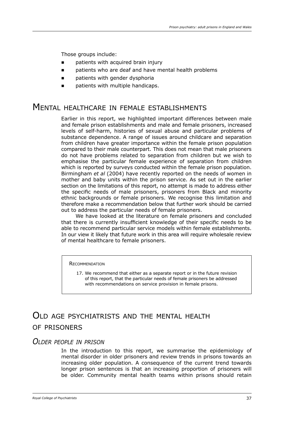Those groups include:

- patients with acquired brain injury ∎
- patients who are deaf and have mental health problems  $\blacksquare$
- patients with gender dysphoria  $\blacksquare$
- patients with multiple handicaps. ∎

# Mental healthcare in female establishments

Earlier in this report, we highlighted important differences between male and female prison establishments and male and female prisoners, increased levels of self-harm, histories of sexual abuse and particular problems of substance dependence. A range of issues around childcare and separation from children have greater importance within the female prison population compared to their male counterpart. This does not mean that male prisoners do not have problems related to separation from children but we wish to emphasise the particular female experience of separation from children which is reported by surveys conducted within the female prison population. Birmingham *et al* (2004) have recently reported on the needs of women in mother and baby units within the prison service. As set out in the earlier section on the limitations of this report, no attempt is made to address either the specific needs of male prisoners, prisoners from Black and minority ethnic backgrounds or female prisoners. We recognise this limitation and therefore make a recommendation below that further work should be carried out to address the particular needs of female prisoners.

We have looked at the literature on female prisoners and concluded that there is currently insufficient knowledge of their specific needs to be able to recommend particular service models within female establishments. In our view it likely that future work in this area will require wholesale review of mental healthcare to female prisoners.

#### **RECOMMENDATION**

17. We recommend that either as a separate report or in the future revision of this report, that the particular needs of female prisoners be addressed with recommendations on service provision in female prisons.

# Old age psychiatrists and the mental health of prisoners

#### *Older people in prison*

In the introduction to this report, we summarise the epidemiology of mental disorder in older prisoners and review trends in prisons towards an increasing older population. A consequence of the current trend towards longer prison sentences is that an increasing proportion of prisoners will be older. Community mental health teams within prisons should retain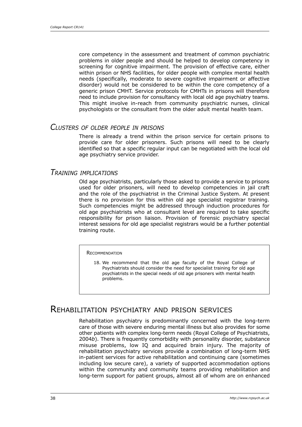core competency in the assessment and treatment of common psychiatric problems in older people and should be helped to develop competency in screening for cognitive impairment. The provision of effective care, either within prison or NHS facilities, for older people with complex mental health needs (specifically, moderate to severe cognitive impairment or affective disorder) would not be considered to be within the core competency of a generic prison CMHT. Service protocols for CMHTs in prisons will therefore need to include provision for consultancy with local old age psychiatry teams. This might involve in-reach from community psychiatric nurses, clinical psychologists or the consultant from the older adult mental health team.

#### *Clusters of older people in prisons*

There is already a trend within the prison service for certain prisons to provide care for older prisoners. Such prisons will need to be clearly identified so that a specific regular input can be negotiated with the local old age psychiatry service provider.

#### *Training implications*

Old age psychiatrists, particularly those asked to provide a service to prisons used for older prisoners, will need to develop competencies in jail craft and the role of the psychiatrist in the Criminal Justice System. At present there is no provision for this within old age specialist registrar training. Such competencies might be addressed through induction procedures for old age psychiatrists who at consultant level are required to take specific responsibility for prison liaison. Provision of forensic psychiatry special interest sessions for old age specialist registrars would be a further potential training route.

#### **RECOMMENDATION**

18. We recommend that the old age faculty of the Royal College of Psychiatrists should consider the need for specialist training for old age psychiatrists in the special needs of old age prisoners with mental health problems.

## Rehabilitation psychiatry and prison services

Rehabilitation psychiatry is predominantly concerned with the long-term care of those with severe enduring mental illness but also provides for some other patients with complex long-term needs (Royal College of Psychiatrists, 2004*b*). There is frequently comorbidity with personality disorder, substance misuse problems, low IQ and acquired brain injury. The majority of rehabilitation psychiatry services provide a combination of long-term NHS in-patient services for active rehabilitation and continuing care (sometimes including low secure care), a variety of supported accommodation options within the community and community teams providing rehabilitation and long-term support for patient groups, almost all of whom are on enhanced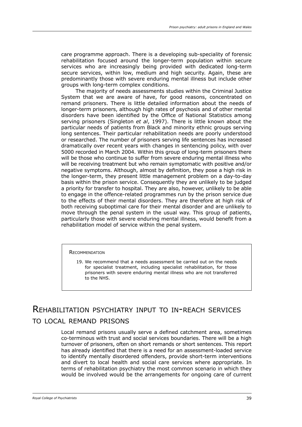care programme approach. There is a developing sub-speciality of forensic rehabilitation focused around the longer-term population within secure services who are increasingly being provided with dedicated long-term secure services, within low, medium and high security. Again, these are predominantly those with severe enduring mental illness but include other groups with long-term complex conditions.

The majority of needs assessments studies within the Criminal Justice System that we are aware of have, for good reasons, concentrated on remand prisoners. There is little detailed information about the needs of longer-term prisoners, although high rates of psychosis and of other mental disorders have been identified by the Office of National Statistics among serving prisoners (Singleton *et al*, 1997). There is little known about the particular needs of patients from Black and minority ethnic groups serving long sentences. Their particular rehabilitation needs are poorly understood or researched. The number of prisoners serving life sentences has increased dramatically over recent years with changes in sentencing policy, with over 5000 recorded in March 2004. Within this group of long-term prisoners there will be those who continue to suffer from severe enduring mental illness who will be receiving treatment but who remain symptomatic with positive and/or negative symptoms. Although, almost by definition, they pose a high risk in the longer-term, they present little management problem on a day-to-day basis within the prison service. Consequently they are unlikely to be judged a priority for transfer to hospital. They are also, however, unlikely to be able to engage in the offence-related programmes run by the prison service due to the effects of their mental disorders. They are therefore at high risk of both receiving suboptimal care for their mental disorder and are unlikely to move through the penal system in the usual way. This group of patients, particularly those with severe enduring mental illness, would benefit from a rehabilitation model of service within the penal system.

#### **RECOMMENDATION**

19. We recommend that a needs assessment be carried out on the needs for specialist treatment, including specialist rehabilitation, for those prisoners with severe enduring mental illness who are not transferred to the NHS.

# Rehabilitation psychiatry input to in-reach services to local remand prisons

Local remand prisons usually serve a defined catchment area, sometimes co-terminous with trust and social services boundaries. There will be a high turnover of prisoners, often on short remands or short sentences. This report has already identified that there is a need for an assessment-loaded service to identify mentally disordered offenders, provide short-term interventions and divert to local health and social care services where appropriate. In terms of rehabilitation psychiatry the most common scenario in which they would be involved would be the arrangements for ongoing care of current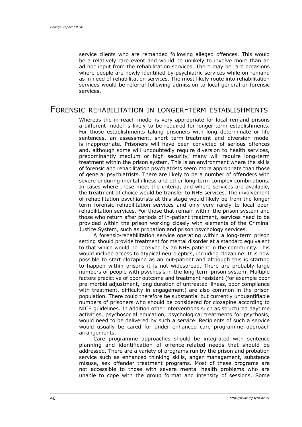service clients who are remanded following alleged offences. This would be a relatively rare event and would be unlikely to involve more than an ad hoc input from the rehabilitation services. There may be rare occasions where people are newly identified by psychiatric services while on remand as in need of rehabilitation services. The most likely route into rehabilitation services would be referral following admission to local general or forensic services.

## Forensic rehabilitation in longer-term establishments

Whereas the in-reach model is very appropriate for local remand prisons a different model is likely to be required for longer-term establishments. For those establishments taking prisoners with long determinate or life sentences, an assessment, short term-treatment and diversion model is inappropriate. Prisoners will have been convicted of serious offences and, although some will undoubtedly require diversion to health services, predominantly medium or high security, many will require long-term treatment within the prison system. This is an environment where the skills of forensic and rehabilitation psychiatrists seem more appropriate than those of general psychiatrists. There are likely to be a number of offenders with severe enduring mental illness and other long-term complex combinations. In cases where these meet the criteria, and where services are available, the treatment of choice would be transfer to NHS services. The involvement of rehabilitation psychiatrists at this stage would likely be from the longer term forensic rehabilitation services and only very rarely to local open rehabilitation services. For those that remain within the prison system and those who return after periods of in-patient treatment, services need to be provided within the prison working closely with elements of the Criminal Justice System, such as probation and prison psychology services.

A forensic-rehabilitation service operating within a long-term prison setting should provide treatment for mental disorder at a standard equivalent to that which would be received by an NHS patient in the community. This would include access to atypical neuroleptics, including clozapine. It is now possible to start clozapine as an out-patient and although this is starting to happen within prisons it is not widespread. There are probably large numbers of people with psychosis in the long-term prison system. Multiple factors predictive of poor outcome and treatment resistant (for example poor pre-morbid adjustment, long duration of untreated illness, poor compliance with treatment, difficulty in engagement) are also common in the prison population. There could therefore be substantial but currently unquantifiable numbers of prisoners who should be considered for clozapine according to NICE guidelines. In addition other interventions such as structured daytime activities, psychosocial education, psychological treatments for psychosis, would need to be delivered by such a service. Recipients of such a service would usually be cared for under enhanced care programme approach arrangements.

Care programme approaches should be integrated with sentence planning and identification of offence-related needs that should be addressed. There are a variety of programs run by the prison and probation service such as enhanced thinking skills, anger management, substance misuse, sex offender treatment programs. Most of these programs are not accessible to those with severe mental health problems who are unable to cope with the group format and intensity of sessions. Some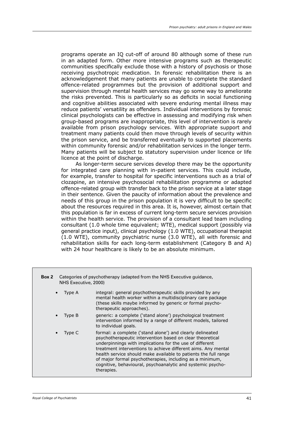programs operate an IQ cut-off of around 80 although some of these run in an adapted form. Other more intensive programs such as therapeutic communities specifically exclude those with a history of psychosis or those receiving psychotropic medication. In forensic rehabilitation there is an acknowledgement that many patients are unable to complete the standard offence-related programmes but the provision of additional support and supervision through mental health services may go some way to ameliorate the risks prevented. This is particularly so as deficits in social functioning and cognitive abilities associated with severe enduring mental illness may reduce patients' versatility as offenders. Individual interventions by forensic clinical psychologists can be effective in assessing and modifying risk when group-based programs are inappropriate, this level of intervention is rarely available from prison psychology services. With appropriate support and treatment many patients could then move through levels of security within the prison service, and be transferred eventually to supported placements within community forensic and/or rehabilitation services in the longer term. Many patients will be subject to statutory supervision under licence or life licence at the point of discharge.

As longer-term secure services develop there may be the opportunity for integrated care planning with in-patient services. This could include, for example, transfer to hospital for specific interventions such as a trial of clozapine, an intensive psychosocial rehabilitation programme or adapted offence-related group with transfer back to the prison service at a later stage in their sentence. Given the paucity of information about the prevalence and needs of this group in the prison population it is very difficult to be specific about the resources required in this area. It is, however, almost certain that this population is far in excess of current long-term secure services provision within the health service. The provision of a consultant lead team including consultant (1.0 whole time equivalent; WTE), medical support (possibly via general practice input), clinical psychology (1.0 WTE), occupational therapist  $(1.0 \text{ WTE})$ , community psychiatric nurse  $(3.0 \text{ WTE})$ , all with forensic and rehabilitation skills for each long-term establishment (Category B and A) with 24 hour healthcare is likely to be an absolute minimum.

| Box 2     | Categories of psychotherapy (adapted from the NHS Executive guidance,<br>NHS Executive, 2000) |                                                                                                                                                                                                                                                                                                                                                                                                                                                                 |  |
|-----------|-----------------------------------------------------------------------------------------------|-----------------------------------------------------------------------------------------------------------------------------------------------------------------------------------------------------------------------------------------------------------------------------------------------------------------------------------------------------------------------------------------------------------------------------------------------------------------|--|
| $\bullet$ | Type A                                                                                        | integral: general psychotherapeutic skills provided by any<br>mental health worker within a multidisciplinary care package<br>(these skills maybe informed by generic or formal psycho-<br>therapeutic approaches).                                                                                                                                                                                                                                             |  |
| $\bullet$ | Type B                                                                                        | generic: a complete ('stand alone') psychological treatment<br>intervention informed by a range of different models, tailored<br>to individual goals.                                                                                                                                                                                                                                                                                                           |  |
| $\bullet$ | Type C                                                                                        | formal: a complete ('stand alone') and clearly delineated<br>psychotherapeutic intervention based on clear theoretical<br>underpinnings with implications for the use of different<br>treatment interventions to achieve different aims. Any mental<br>health service should make available to patients the full range<br>of major formal psychotherapies, including as a minimum,<br>cognitive, behavioural, psychoanalytic and systemic psycho-<br>therapies. |  |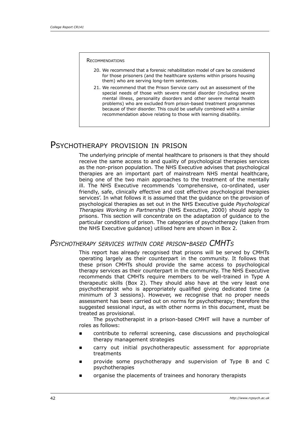#### **RECOMMENDATIONS**

- 20. We recommend that a forensic rehabilitation model of care be considered for those prisoners (and the healthcare systems within prisons housing them) who are serving long-term sentences.
- 21. We recommend that the Prison Service carry out an assessment of the special needs of those with severe mental disorder (including severe mental illness, personality disorders and other severe mental health problems) who are excluded from prison-based treatment programmes because of their disorder. This could be usefully combined with a similar recommendation above relating to those with learning disability.

## Psychotherapy provision in prison

The underlying principle of mental healthcare to prisoners is that they should receive the same access to and quality of psychological therapies services as the non-prison population. The NHS Executive advises that psychological therapies are an important part of mainstream NHS mental healthcare, being one of the two main approaches to the treatment of the mentally ill. The NHS Executive recommends 'comprehensive, co-ordinated, user friendly, safe, clinically effective and cost effective psychological therapies services'. In what follows it is assumed that the guidance on the provision of psychological therapies as set out in the NHS Executive guide *Psychological Therapies Working in Partnership* (NHS Executive, 2000) should apply to prisons. This section will concentrate on the adaptation of guidance to the particular conditions of prison. The categories of psychotherapy (taken from the NHS Executive guidance) utilised here are shown in Box 2.

### *Psychotherapy services within core prison-based CMHTs*

This report has already recognised that prisons will be served by CMHTs operating largely as their counterpart in the community. It follows that these prison CMHTs should provide the same access to psychological therapy services as their counterpart in the community. The NHS Executive recommends that CMHTs require members to be well-trained in Type A therapeutic skills (Box 2). They should also have at the very least one psychotherapist who is appropriately qualified giving dedicated time (a minimum of 3 sessions). However, we recognise that no proper needs assessment has been carried out on norms for psychotherapy; therefore the suggested sessional input, as with other norms in this document, must be treated as provisional.

The psychotherapist in a prison-based CMHT will have a number of roles as follows:

- contribute to referral screening, case discussions and psychological therapy management strategies ∎
- carry out initial psychotherapeutic assessment for appropriate treatments E
- provide some psychotherapy and supervision of Type B and C psychotherapies E
- organise the placements of trainees and honorary therapists E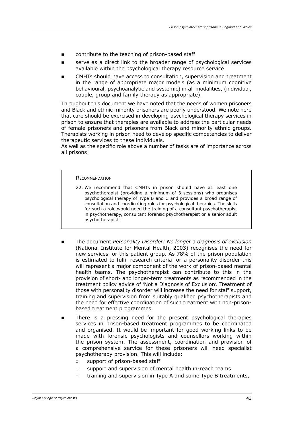- contribute to the teaching of prison-based staff
- serve as a direct link to the broader range of psychological services available within the psychological therapy resource service
- CMHTs should have access to consultation, supervision and treatment in the range of appropriate major models (as a minimum cognitive behavioural, psychoanalytic and systemic) in all modalities, (individual, couple, group and family therapy as appropriate).

Throughout this document we have noted that the needs of women prisoners and Black and ethnic minority prisoners are poorly understood. We note here that care should be exercised in developing psychological therapy services in prison to ensure that therapies are available to address the particular needs of female prisoners and prisoners from Black and minority ethnic groups. Therapists working in prison need to develop specific competencies to deliver therapeutic services to these individuals.

As well as the specific role above a number of tasks are of importance across all prisons:

#### **RECOMMENDATION**

- 22. We recommend that CMHTs in prison should have at least one psychotherapist (providing a minimum of 3 sessions) who organises psychological therapy of Type B and C and provides a broad range of consultation and coordinating roles for psychological therapies. The skills for such a role would need the training of a consultant psychotherapist in psychotherapy, consultant forensic psychotherapist or a senior adult psychotherapist.
- The document *Personality Disorder: No longer a diagnosis of exclusion* (National Institute for Mental Health, 2003) recognises the need for new services for this patient group. As 78% of the prison population is estimated to fulfil research criteria for a personality disorder this will represent a major component of the work of prison-based mental health teams. The psychotherapist can contribute to this in the provision of short- and longer-term treatments as recommended in the treatment policy advice of 'Not a Diagnosis of Exclusion'. Treatment of those with personality disorder will increase the need for staff support, training and supervision from suitably qualified psychotherapists and the need for effective coordination of such treatment with non-prisonbased treatment programmes.
- There is a pressing need for the present psychological therapies services in prison-based treatment programmes to be coordinated and organised. It would be important for good working links to be made with forensic psychologists and counsellors working within the prison system. The assessment, coordination and provision of a comprehensive service for these prisoners will need specialist psychotherapy provision. This will include: ∎
	- support of prison-based staff  $\Box$
	- support and supervision of mental health in-reach teams  $\overline{a}$
	- training and supervision in Type A and some Type B treatments,  $\Box$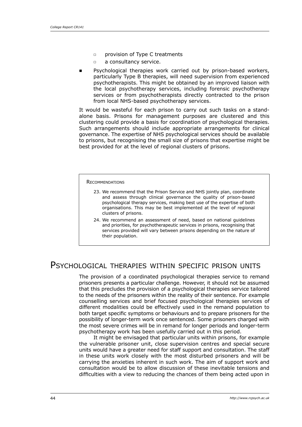- provision of Type C treatments  $\Box$
- a consultancy service.  $\Box$
- Psychological therapies work carried out by prison-based workers, particularly Type B therapies, will need supervision from experienced psychotherapists. This might be obtained by an improved liaison with the local psychotherapy services, including forensic psychotherapy services or from psychotherapists directly contracted to the prison from local NHS-based psychotherapy services. E

It would be wasteful for each prison to carry out such tasks on a standalone basis. Prisons for management purposes are clustered and this clustering could provide a basis for coordination of psychological therapies. Such arrangements should include appropriate arrangements for clinical governance. The expertise of NHS psychological services should be available to prisons, but recognising the small size of prisons that expertise might be best provided for at the level of regional clusters of prisons.

#### **RECOMMENDATIONS**

- 23. We recommend that the Prison Service and NHS jointly plan, coordinate and assess through clinical governance the quality of prison-based psychological therapy services, making best use of the expertise of both organisations. This may be best implemented at the level of regional clusters of prisons.
- 24. We recommend an assessment of need, based on national guidelines and priorities, for psychotherapeutic services in prisons, recognising that services provided will vary between prisons depending on the nature of their population.

## PSYCHOLOGICAL THERAPIES WITHIN SPECIFIC PRISON UNITS

The provision of a coordinated psychological therapies service to remand prisoners presents a particular challenge. However, it should not be assumed that this precludes the provision of a psychological therapies service tailored to the needs of the prisoners within the reality of their sentence. For example counselling services and brief focused psychological therapies services of different modalities could be effectively used in the remand population to both target specific symptoms or behaviours and to prepare prisoners for the possibility of longer-term work once sentenced. Some prisoners charged with the most severe crimes will be in remand for longer periods and longer-term psychotherapy work has been usefully carried out in this period.

It might be envisaged that particular units within prisons, for example the vulnerable prisoner unit, close supervision centres and special secure units would have a greater need for staff support and consultation. The staff in these units work closely with the most disturbed prisoners and will be carrying the anxieties inherent in such work. The aim of support work and consultation would be to allow discussion of these inevitable tensions and difficulties with a view to reducing the chances of them being acted upon in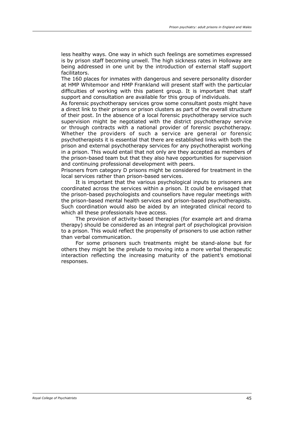less healthy ways. One way in which such feelings are sometimes expressed is by prison staff becoming unwell. The high sickness rates in Holloway are being addressed in one unit by the introduction of external staff support facilitators.

The 160 places for inmates with dangerous and severe personality disorder at HMP Whitemoor and HMP Frankland will present staff with the particular difficulties of working with this patient group. It is important that staff support and consultation are available for this group of individuals.

As forensic psychotherapy services grow some consultant posts might have a direct link to their prisons or prison clusters as part of the overall structure of their post. In the absence of a local forensic psychotherapy service such supervision might be negotiated with the district psychotherapy service or through contracts with a national provider of forensic psychotherapy. Whether the providers of such a service are general or forensic psychotherapists it is essential that there are established links with both the prison and external psychotherapy services for any psychotherapist working in a prison. This would entail that not only are they accepted as members of the prison-based team but that they also have opportunities for supervision and continuing professional development with peers.

Prisoners from category D prisons might be considered for treatment in the local services rather than prison-based services.

It is important that the various psychological inputs to prisoners are coordinated across the services within a prison. It could be envisaged that the prison-based psychologists and counsellors have regular meetings with the prison-based mental health services and prison-based psychotherapists. Such coordination would also be aided by an integrated clinical record to which all these professionals have access.

The provision of activity-based therapies (for example art and drama therapy) should be considered as an integral part of psychological provision to a prison. This would reflect the propensity of prisoners to use action rather than verbal communication.

For some prisoners such treatments might be stand-alone but for others they might be the prelude to moving into a more verbal therapeutic interaction reflecting the increasing maturity of the patient's emotional responses.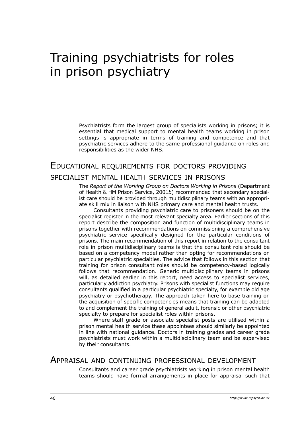# Training psychiatrists for roles in prison psychiatry

Psychiatrists form the largest group of specialists working in prisons; it is essential that medical support to mental health teams working in prison settings is appropriate in terms of training and competence and that psychiatric services adhere to the same professional guidance on roles and responsibilities as the wider NHS.

## Educational requirements for doctors providing

#### specialist mental health services in prisons

The *Report of the Working Group on Doctors Working in Prisons* (Department of Health & HM Prison Service, 2001*b*) recommended that secondary specialist care should be provided through multidisciplinary teams with an appropriate skill mix in liaison with NHS primary care and mental health trusts.

Consultants providing psychiatric care to prisoners should be on the specialist register in the most relevant specialty area. Earlier sections of this report describe the composition and function of multidisciplinary teams in prisons together with recommendations on commissioning a comprehensive psychiatric service specifically designed for the particular conditions of prisons. The main recommendation of this report in relation to the consultant role in prison multidisciplinary teams is that the consultant role should be based on a competency model rather than opting for recommendations on particular psychiatric specialties. The advice that follows in this section that training for prison consultant roles should be competency-based logically follows that recommendation. Generic multidisciplinary teams in prisons will, as detailed earlier in this report, need access to specialist services, particularly addiction psychiatry. Prisons with specialist functions may require consultants qualified in a particular psychiatric specialty, for example old age psychiatry or psychotherapy. The approach taken here to base training on the acquisition of specific competencies means that training can be adapted to and complement the training of general adult, forensic or other psychiatric specialty to prepare for specialist roles within prisons.

Where staff grade or associate specialist posts are utilised within a prison mental health service these appointees should similarly be appointed in line with national guidance. Doctors in training grades and career grade psychiatrists must work within a multidisciplinary team and be supervised by their consultants.

### Appraisal and continuing professional development

Consultants and career grade psychiatrists working in prison mental health teams should have formal arrangements in place for appraisal such that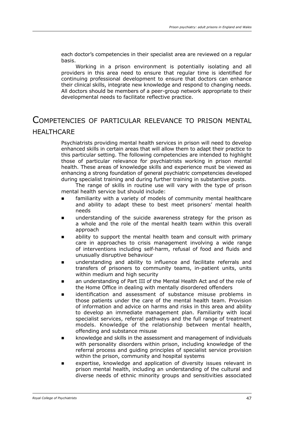each doctor's competencies in their specialist area are reviewed on a regular basis.

Working in a prison environment is potentially isolating and all providers in this area need to ensure that regular time is identified for continuing professional development to ensure that doctors can enhance their clinical skills, integrate new knowledge and respond to changing needs. All doctors should be members of a peer-group network appropriate to their developmental needs to facilitate reflective practice.

# Competencies of particular relevance to prison mental **HEALTHCARE**

Psychiatrists providing mental health services in prison will need to develop enhanced skills in certain areas that will allow them to adapt their practice to this particular setting. The following competencies are intended to highlight those of particular relevance for psychiatrists working in prison mental health. These areas of knowledge skills and experience must be viewed as enhancing a strong foundation of general psychiatric competencies developed during specialist training and during further training in substantive posts.

The range of skills in routine use will vary with the type of prison mental health service but should include:

- familiarity with a variety of models of community mental healthcare and ability to adapt these to best meet prisoners' mental health needs  $\blacksquare$
- understanding of the suicide awareness strategy for the prison as a whole and the role of the mental health team within this overall approach  $\blacksquare$
- ability to support the mental health team and consult with primary care in approaches to crisis management involving a wide range of interventions including self-harm, refusal of food and fluids and unusually disruptive behaviour  $\blacksquare$
- understanding and ability to influence and facilitate referrals and transfers of prisoners to community teams, in-patient units, units within medium and high security  $\blacksquare$
- an understanding of Part III of the Mental Health Act and of the role of the Home Office in dealing with mentally disordered offenders  $\blacksquare$
- identification and assessment of substance misuse problems in those patients under the care of the mental health team. Provision of information and advice on harms and risks in this area and ability to develop an immediate management plan. Familiarity with local specialist services, referral pathways and the full range of treatment models. Knowledge of the relationship between mental health, offending and substance misuse
- knowledge and skills in the assessment and management of individuals with personality disorders within prison, including knowledge of the referral process and guiding principles of specialist service provision within the prison, community and hospital systems  $\blacksquare$
- expertise, knowledge and application of diversity issues relevant in prison mental health, including an understanding of the cultural and diverse needs of ethnic minority groups and sensitivities associated  $\blacksquare$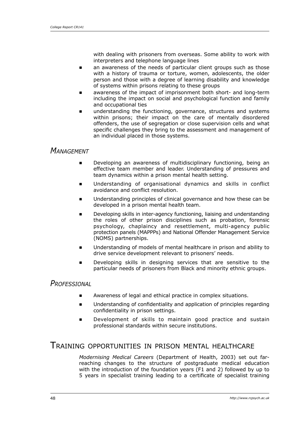with dealing with prisoners from overseas. Some ability to work with interpreters and telephone language lines

- an awareness of the needs of particular client groups such as those with a history of trauma or torture, women, adolescents, the older person and those with a degree of learning disability and knowledge of systems within prisons relating to these groups E
- awareness of the impact of imprisonment both short- and long-term including the impact on social and psychological function and family and occupational ties E
- understanding the functioning, governance, structures and systems within prisons; their impact on the care of mentally disordered offenders, the use of segregation or close supervision cells and what specific challenges they bring to the assessment and management of an individual placed in those systems. ∎

### *Management*

- Developing an awareness of multidisciplinary functioning, being an effective team member and leader. Understanding of pressures and team dynamics within a prison mental health setting.  $\blacksquare$
- Understanding of organisational dynamics and skills in conflict avoidance and conflict resolution.  $\blacksquare$
- Understanding principles of clinical governance and how these can be developed in a prison mental health team. E
- Developing skills in inter-agency functioning, liaising and understanding the roles of other prison disciplines such as probation, forensic psychology, chaplaincy and resettlement, multi-agency public protection panels (MAPPPs) and National Offender Management Service (NOMS) partnerships. E
- Understanding of models of mental healthcare in prison and ability to drive service development relevant to prisoners' needs.  $\blacksquare$
- Developing skills in designing services that are sensitive to the particular needs of prisoners from Black and minority ethnic groups. ∎

### *Professional*

- Awareness of legal and ethical practice in complex situations. É
- Understanding of confidentiality and application of principles regarding confidentiality in prison settings. E
- Development of skills to maintain good practice and sustain professional standards within secure institutions. E

## Training opportunities in prison mental healthcare

*Modernising Medical Careers* (Department of Health, 2003) set out farreaching changes to the structure of postgraduate medical education with the introduction of the foundation years (F1 and 2) followed by up to 5 years in specialist training leading to a certificate of specialist training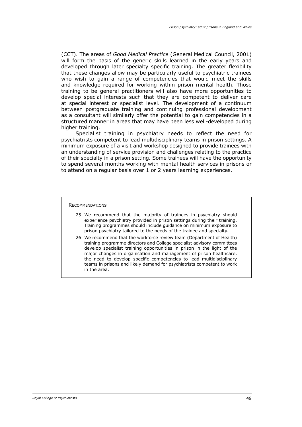(CCT). The areas of *Good Medical Practice* (General Medical Council, 2001) will form the basis of the generic skills learned in the early years and developed through later specialty specific training. The greater flexibility that these changes allow may be particularly useful to psychiatric trainees who wish to gain a range of competencies that would meet the skills and knowledge required for working within prison mental health. Those training to be general practitioners will also have more opportunities to develop special interests such that they are competent to deliver care at special interest or specialist level. The development of a continuum between postgraduate training and continuing professional development as a consultant will similarly offer the potential to gain competencies in a structured manner in areas that may have been less well-developed during higher training.

Specialist training in psychiatry needs to reflect the need for psychiatrists competent to lead multidisciplinary teams in prison settings. A minimum exposure of a visit and workshop designed to provide trainees with an understanding of service provision and challenges relating to the practice of their specialty in a prison setting. Some trainees will have the opportunity to spend several months working with mental health services in prisons or to attend on a regular basis over 1 or 2 years learning experiences.

#### **RECOMMENDATIONS**

- 25. We recommend that the majority of trainees in psychiatry should experience psychiatry provided in prison settings during their training. Training programmes should include guidance on minimum exposure to prison psychiatry tailored to the needs of the trainee and specialty.
- 26. We recommend that the workforce review team (Department of Health) training programme directors and College specialist advisory committees develop specialist training opportunities in prison in the light of the major changes in organisation and management of prison healthcare, the need to develop specific competencies to lead multidisciplinary teams in prisons and likely demand for psychiatrists competent to work in the area.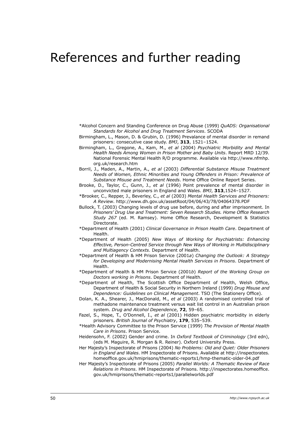# References and further reading

\*Alcohol Concern and Standing Conference on Drug Abuse (1999) *QuADS: Organisational Standards for Alcohol and Drug Treatment Services*. SCODA

- Birmingham, L., Mason, D. & Grubin, D. (1996) Prevalance of mental disorder in remand prisoners: consecutive case study. *BMJ*, **313**, 1521–1524.
- Birmingham, L., Gregone, A., Kam, M., *et al* (2004) *Psychiatric Morbidity and Mental Health Needs Among Women in Prison Mother and Baby Units*. Report MRD 12/39. National Forensic Mental Health R/D programme. Available via http://www.nfmhp. org.uk/research.htm
- Borril, J., Maden, A., Martin, A., *et al* (2003) *Differential Substance Misuse Treatment Needs of Women, Ethnic Minorities and Young Offenders in Prison: Prevalence of Substance Misuse and Treatment Needs*. Home Office Online Report Series.
- Brooke, D., Taylor, C., Gunn, J., *et al* (1996) Point prevalence of mental disorder in unconvicted male prisoners in England and Wales. *BMJ*, **313**,1524–1527.
- \*Brooker, C., Repper, J., Beverley, C., *et al* (2003) *Mental Health Services and Prisoners: A Review*. http://www.dh.gov.uk/assetRoot/04/06/43/78/04064378.PDF
- Bullock, T. (2003) Changing levels of drug use before, during and after imprisonment. In *Prisoners' Drug Use and Treatment: Seven Research Studies. Home Office Research Study 267* (ed. M. Ramsey). Home Office Research, Development & Statistics Directorate.
- \*Department of Health (2001) *Clinical Governance in Prison Health Care*. Department of Health.
- \*Department of Health (2005) *New Ways of Working for Psychiatrists: Enhancing Effective, Person-Centred Service through New Ways of Working in Multidisciplinary and Multiagency Contexts*. Department of Health.
- \*Department of Health & HM Prison Service (2001*a*) *Changing the Outlook: A Strategy for Developing and Modernising Mental Health Services in Prisons*. Department of Health.
- \*Department of Health & HM Prison Service (2001*b*) *Report of the Working Group on Doctors working in Prisons*. Department of Health.
- \*Department of Health, The Scottish Office Department of Health, Welsh Office, Department of Health & Social Security in Northern Ireland (1999) *Drug Misuse and Dependence: Guidelines on Clinical Management*. TSO (The Stationery Office).
- Dolan, K. A., Shearer, J., MacDonald, M., *et al* (2003) A randomised controlled trial of methadone maintenance treatment versus wait list control in an Australian prison system. *Drug and Alcohol Dependence*, **72**, 59–65.
- Fazel, S., Hope, T., O'Donnell, I., *et al* (2001) Hidden psychiatric morbidity in elderly prisoners. *British Journal of Psychiatry*, **179**, 535–539.
- \*Health Advisory Committee to the Prison Service (1999) *The Provision of Mental Health Care in Prisons*. Prison Service.
- Heidensohn, F. (2002) Gender and crime. In *Oxford Textbook of Criminology* (3rd edn), (eds M. Maguire, R. Morgan & R. Reiner). Oxford University Press.
- Her Majesty's Inspectorate of Prisons (2004) *No Problems: Old and Quiet: Older Prisoners in England and Wales*. HM Inspectorate of Prisons. Available at http://inspectorates. homeoffice.gov.uk/hmiprisons/thematic-reports1/hmp-thematic-older-04.pdf
- Her Majesty's Inspectorate of Prisons (2005) *Parallel Worlds: A Thematic Review of Race Relations in Prisons*. HM Inspectorate of Prisons. http://inspectorates.homeoffice. gov.uk/hmiprisons/thematic-reports1/parallelworlds.pdf